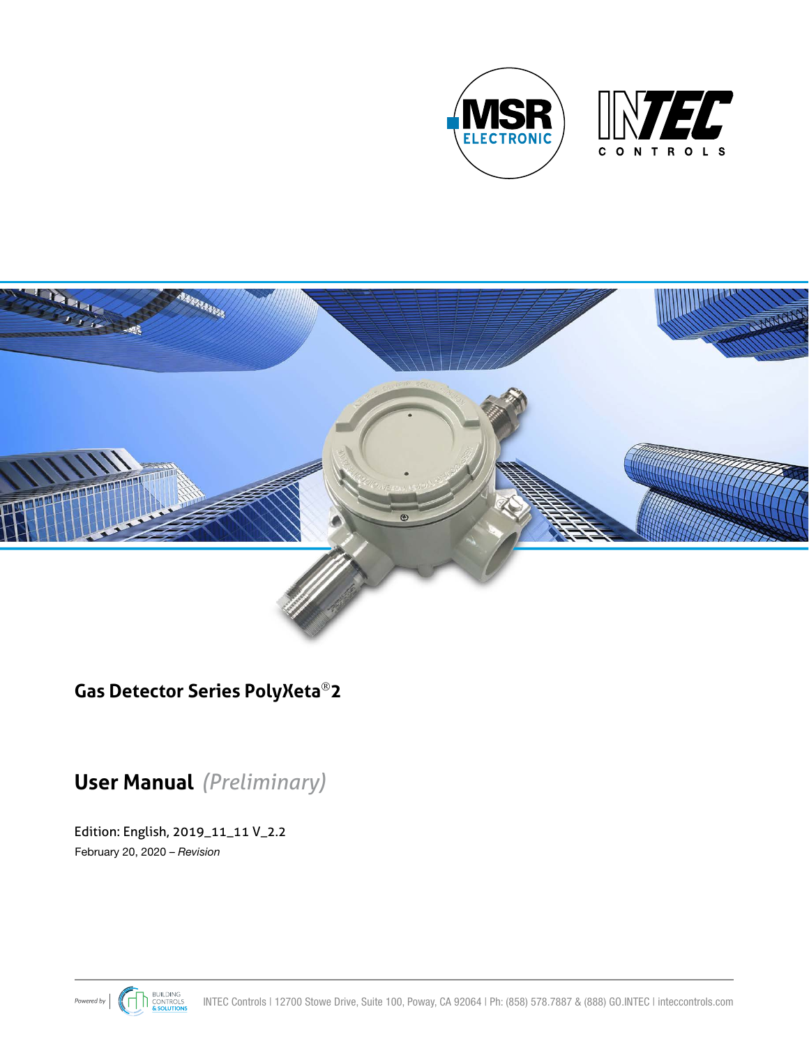



## **Gas Detector Series PolyXeta2**

# **User Manual** *(Preliminary)*

Edition: English, 2019\_11\_11 V\_2.2 February 20, 2020 – *Revision*

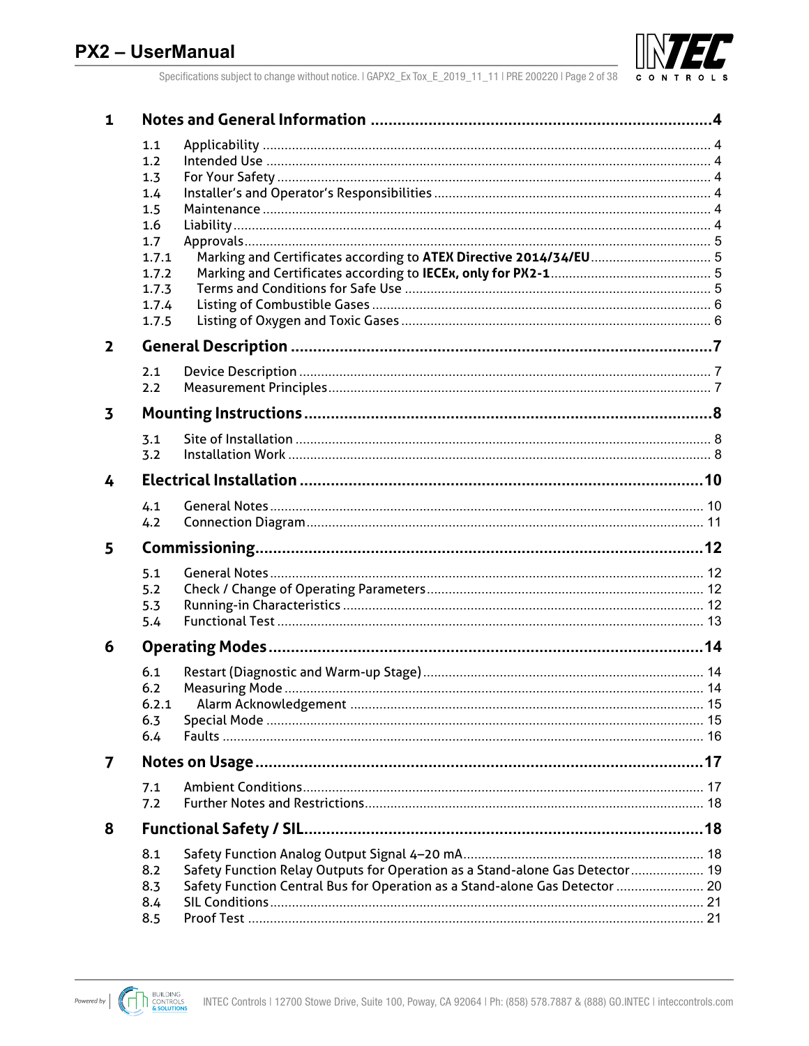

Specifications subject to change without notice. | GAPX2\_Ex Tox\_E\_2019\_11\_11 | PRE 200220 | Page 2 of 38

| $\mathbf{1}$ |                |                                                                              |  |  |  |  |  |
|--------------|----------------|------------------------------------------------------------------------------|--|--|--|--|--|
|              | 1.1            |                                                                              |  |  |  |  |  |
|              | 1.2            |                                                                              |  |  |  |  |  |
|              | 1.3            |                                                                              |  |  |  |  |  |
|              | 1.4            |                                                                              |  |  |  |  |  |
|              | 1.5            |                                                                              |  |  |  |  |  |
|              | 1.6            |                                                                              |  |  |  |  |  |
|              | 1.7            |                                                                              |  |  |  |  |  |
|              | 1.7.1<br>1.7.2 | Marking and Certificates according to ATEX Directive 2014/34/EU 5            |  |  |  |  |  |
|              | 1.7.3          |                                                                              |  |  |  |  |  |
|              | 1.7.4          |                                                                              |  |  |  |  |  |
|              | 1.7.5          |                                                                              |  |  |  |  |  |
| $\mathbf{2}$ |                |                                                                              |  |  |  |  |  |
|              | 2.1            |                                                                              |  |  |  |  |  |
|              | 2.2            |                                                                              |  |  |  |  |  |
|              |                |                                                                              |  |  |  |  |  |
| 3            |                |                                                                              |  |  |  |  |  |
|              | 3.1            |                                                                              |  |  |  |  |  |
|              | 3.2            |                                                                              |  |  |  |  |  |
| 4            |                |                                                                              |  |  |  |  |  |
|              | 4.1            |                                                                              |  |  |  |  |  |
|              | 4.2            |                                                                              |  |  |  |  |  |
| 5            |                |                                                                              |  |  |  |  |  |
|              | 5.1            |                                                                              |  |  |  |  |  |
|              | 5.2            |                                                                              |  |  |  |  |  |
|              | 5.3            |                                                                              |  |  |  |  |  |
|              | 5.4            |                                                                              |  |  |  |  |  |
| 6            |                |                                                                              |  |  |  |  |  |
|              | 6.1            |                                                                              |  |  |  |  |  |
|              | 6.2            |                                                                              |  |  |  |  |  |
|              | 6.2.1          |                                                                              |  |  |  |  |  |
|              | 6.3            |                                                                              |  |  |  |  |  |
|              | 6.4            |                                                                              |  |  |  |  |  |
| 7            |                |                                                                              |  |  |  |  |  |
|              | 7.1            |                                                                              |  |  |  |  |  |
|              | 7.2            |                                                                              |  |  |  |  |  |
| 8            |                |                                                                              |  |  |  |  |  |
|              | 8.1            |                                                                              |  |  |  |  |  |
|              | 8.2            | Safety Function Relay Outputs for Operation as a Stand-alone Gas Detector 19 |  |  |  |  |  |
|              | 8.3            | Safety Function Central Bus for Operation as a Stand-alone Gas Detector  20  |  |  |  |  |  |
|              | 8.4            |                                                                              |  |  |  |  |  |
|              | 8.5            |                                                                              |  |  |  |  |  |

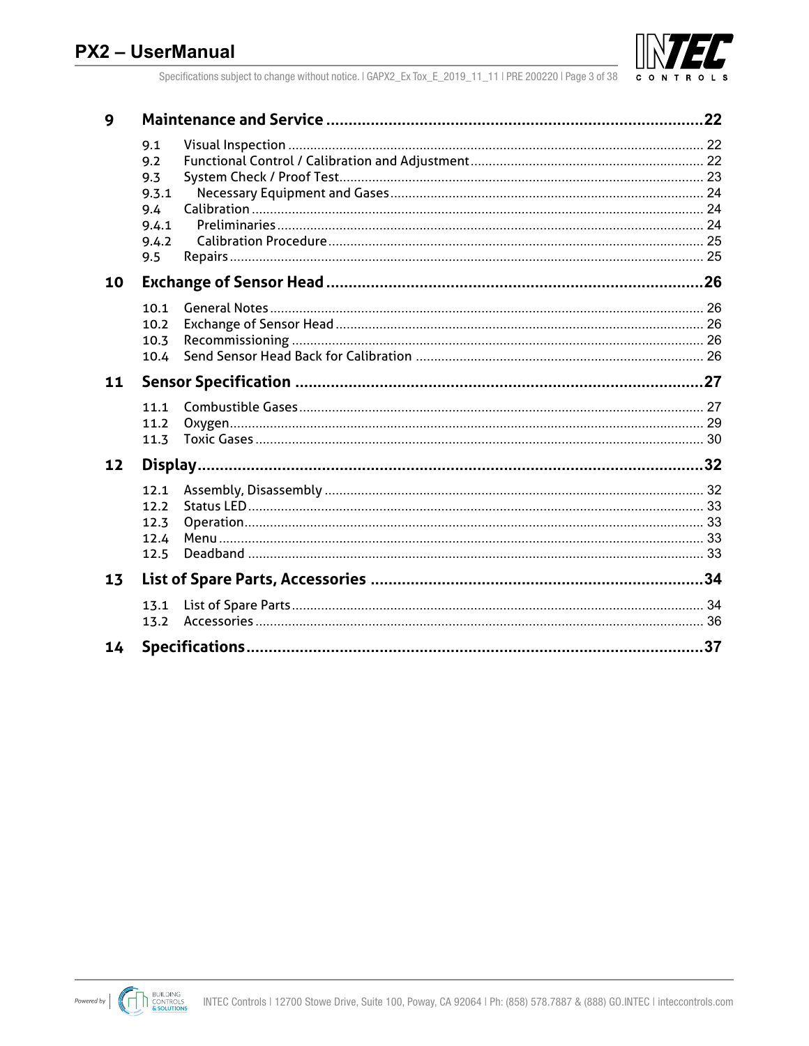

Specifications subject to change without notice. | GAPX2\_Ex Tox\_E\_2019\_11\_11 | PRE 200220 | Page 3 of 38

| 9  |                                                     |    |
|----|-----------------------------------------------------|----|
|    | 9.1<br>9.2<br>9.3<br>9.3.1<br>9.4<br>9.4.1<br>9.4.2 |    |
|    | 9.5                                                 |    |
| 10 |                                                     |    |
|    | 10.1<br>10.2<br>10.3<br>10.4                        |    |
| 11 |                                                     |    |
|    | 11.1<br>11.2<br>11.3                                |    |
| 12 |                                                     |    |
|    | 12.1<br>12.2<br>12.3<br>12.4<br>12.5                |    |
| 13 |                                                     |    |
|    | 13.1<br>13.2                                        |    |
| 14 |                                                     | 37 |

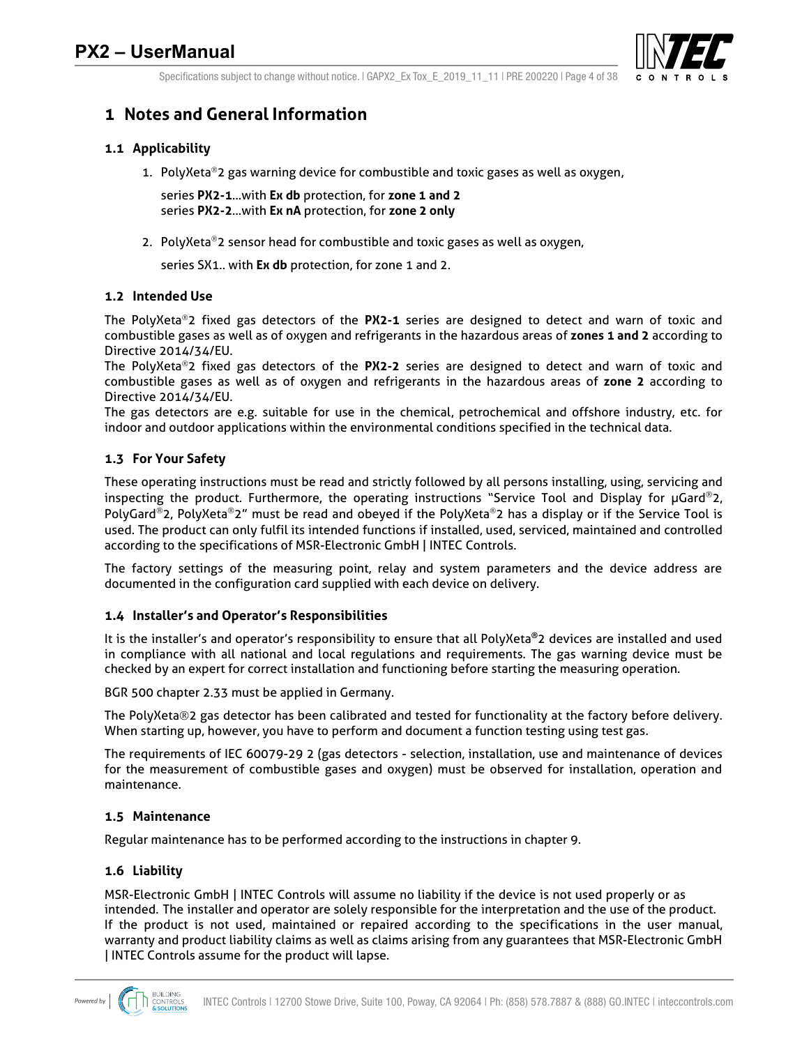

Specifications subject to change without notice.  $|$  GAPX2 Ex Tox E 2019 11 11 | PRE 200220 | Page 4 of 38

## **1 Notes and General Information**

### **1.1 Applicability**

1. PolyXeta<sup>®</sup>2 gas warning device for combustible and toxic gases as well as oxygen,

series **PX2-1**…with **Ex db** protection, for **zone 1 and 2** series **PX2-2**…with **Ex nA** protection, for **zone 2 only**

2. PolyXeta<sup>®</sup>2 sensor head for combustible and toxic gases as well as oxygen,

series SX1.. with **Ex db** protection, for zone 1 and 2.

#### **1.2 Intended Use**

The PolyXeta<sup>®</sup>2 fixed gas detectors of the PX2-1 series are designed to detect and warn of toxic and combustible gases as well as of oxygen and refrigerants in the hazardous areas of **zones 1 and 2** according to Directive 2014/34/EU.

The PolyXeta<sup>®</sup>2 fixed gas detectors of the PX2-2 series are designed to detect and warn of toxic and combustible gases as well as of oxygen and refrigerants in the hazardous areas of **zone 2** according to Directive 2014/34/EU.

The gas detectors are e.g. suitable for use in the chemical, petrochemical and offshore industry, etc. for indoor and outdoor applications within the environmental conditions specified in the technical data.

#### **1.3 For Your Safety**

These operating instructions must be read and strictly followed by all persons installing, using, servicing and inspecting the product. Furthermore, the operating instructions "Service Tool and Display for  $\mu$ Gard®2, PolyGard<sup>®</sup>2, PolyXeta<sup>®</sup>2" must be read and obeyed if the PolyXeta<sup>®</sup>2 has a display or if the Service Tool is used. The product can only fulfil its intended functions if installed, used, serviced, maintained and controlled according to the specifications of MSR-Electronic GmbH | INTEC Controls.

The factory settings of the measuring point, relay and system parameters and the device address are documented in the configuration card supplied with each device on delivery.

#### **1.4 Installer's and Operator's Responsibilities**

It is the installer's and operator's responsibility to ensure that all PolyXeta**®**2 devices are installed and used in compliance with all national and local regulations and requirements. The gas warning device must be checked by an expert for correct installation and functioning before starting the measuring operation.

BGR 500 chapter 2.33 must be applied in Germany.

The PolyXeta®2 gas detector has been calibrated and tested for functionality at the factory before delivery. When starting up, however, you have to perform and document a function testing using test gas.

The requirements of IEC 60079-29 2 (gas detectors - selection, installation, use and maintenance of devices for the measurement of combustible gases and oxygen) must be observed for installation, operation and maintenance.

#### **1.5 Maintenance**

Regular maintenance has to be performed according to the instructions in chapter 9.

#### **1.6 Liability**

MSR-Electronic GmbH | INTEC Controls will assume no liability if the device is not used properly or as intended. The installer and operator are solely responsible for the interpretation and the use of the product. If the product is not used, maintained or repaired according to the specifications in the user manual, warranty and product liability claims as well as claims arising from any guarantees that MSR-Electronic GmbH | INTEC Controls assume for the product will lapse.

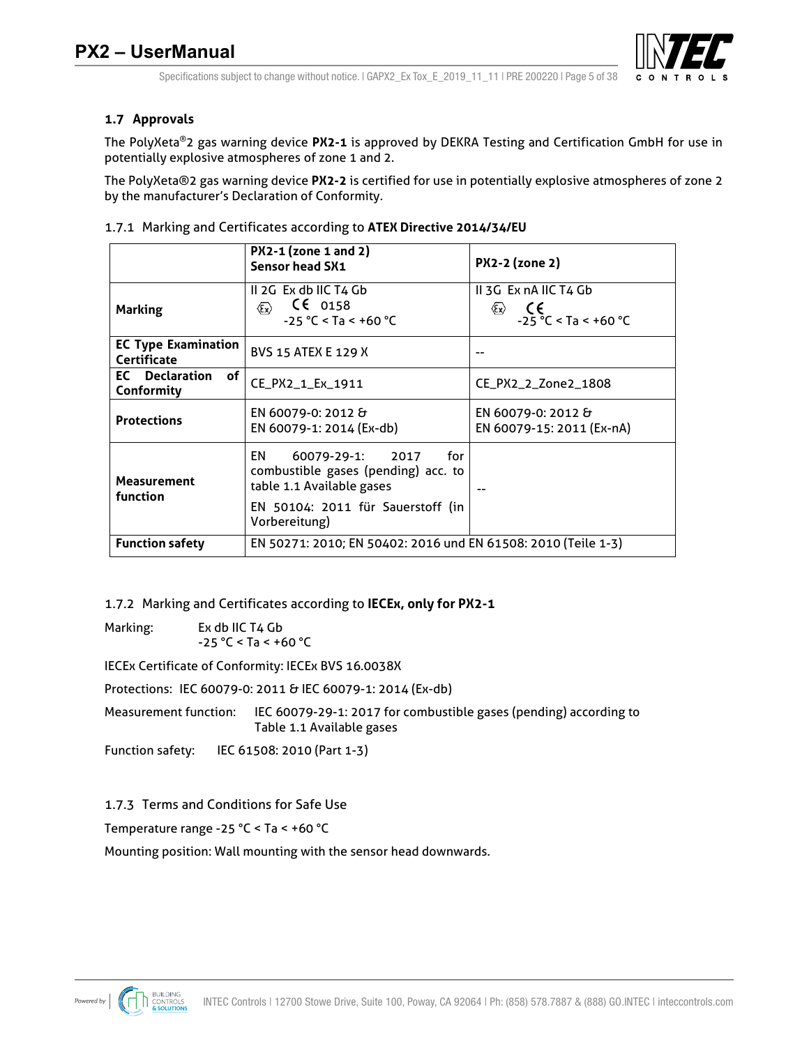

### **1.7 Approvals**

The PolyXeta®2 gas warning device **PX2-1** is approved by DEKRA Testing and Certification GmbH for use in potentially explosive atmospheres of zone 1 and 2.

The PolyXeta®2 gas warning device **PX2-2** is certified for use in potentially explosive atmospheres of zone 2 by the manufacturer's Declaration of Conformity.

|                                           | PX2-1 (zone 1 and 2)<br>Sensor head SX1                                                                          | <b>PX2-2 (zone 2)</b>                                                                           |
|-------------------------------------------|------------------------------------------------------------------------------------------------------------------|-------------------------------------------------------------------------------------------------|
| <b>Marking</b>                            | II 2G Ex db IIC T4 Gb<br>$\mathsf{CE}$ 0158<br>$\langle \epsilon_{\mathbf{x}} \rangle$<br>$-25 °C < Ta < +60 °C$ | II 3G Ex nA IIC T4 Gb<br>€<br>$\langle \epsilon_{\mathsf{x}} \rangle$<br>$-25 °C < Ta < +60 °C$ |
| <b>EC Type Examination</b><br>Certificate | <b>BVS 15 ATEX E 129 X</b>                                                                                       |                                                                                                 |
| <b>EC</b> Declaration<br>of<br>Conformity | CE_PX2_1_Ex_1911                                                                                                 | CE_PX2_2_Zone2_1808                                                                             |
| <b>Protections</b>                        | EN 60079-0: 2012 &<br>EN 60079-1: 2014 (Ex-db)                                                                   | EN 60079-0: 2012 &<br>EN 60079-15: 2011 (Ex-nA)                                                 |
| <b>Measurement</b><br>function            | EN<br>60079-29-1: 2017<br>for<br>combustible gases (pending) acc. to<br>table 1.1 Available gases                |                                                                                                 |
|                                           | EN 50104: 2011 für Sauerstoff (in<br>Vorbereitung)                                                               |                                                                                                 |
| <b>Function safety</b>                    | EN 50271: 2010; EN 50402: 2016 und EN 61508: 2010 (Teile 1-3)                                                    |                                                                                                 |

1.7.1 Marking and Certificates according to **ATEX Directive 2014/34/EU**

1.7.2 Marking and Certificates according to **IECEx, only for PX2-1**

Marking: Ex db IIC T4 Gb  $-25 °C <$  Ta < +60 °C

IECEx Certificate of Conformity: IECEx BVS 16.0038X

Protections: IEC 60079-0: 2011 & IEC 60079-1: 2014 (Ex-db)

Measurement function: IEC 60079-29-1: 2017 for combustible gases (pending) according to Table 1.1 Available gases

Function safety: IEC 61508: 2010 (Part 1-3)

1.7.3 Terms and Conditions for Safe Use

Temperature range -25 °C < Ta < +60 °C

Mounting position: Wall mounting with the sensor head downwards.

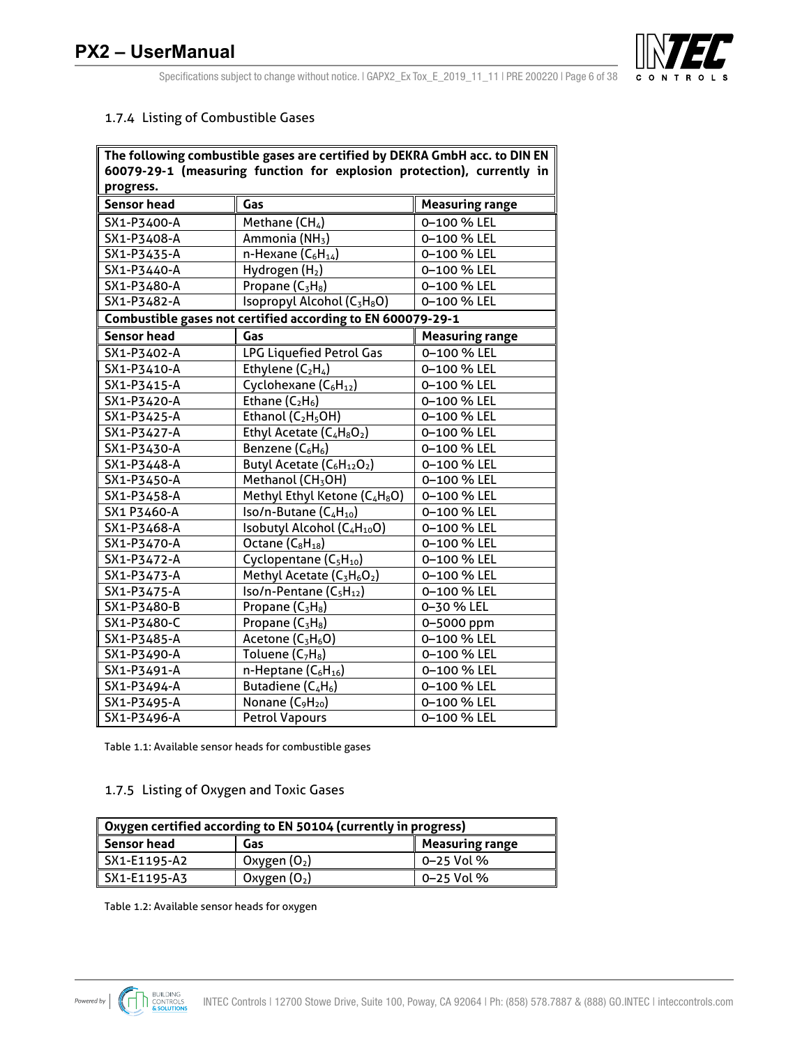

Specifications subject to change without notice. | GAPX2\_Ex Tox\_E\_2019\_11\_11 | PRE 200220 | Page 6 of 38

#### 1.7.4 Listing of Combustible Gases

|                    | The following combustible gases are certified by DEKRA GmbH acc. to DIN EN |                        |
|--------------------|----------------------------------------------------------------------------|------------------------|
|                    | 60079-29-1 (measuring function for explosion protection), currently in     |                        |
| progress.          |                                                                            |                        |
| <b>Sensor head</b> | Gas                                                                        | <b>Measuring range</b> |
| SX1-P3400-A        | Methane $(CH_4)$                                                           | 0-100 % LEL            |
| SX1-P3408-A        | Ammonia (NH <sub>3</sub> )                                                 | 0-100 % LEL            |
| SX1-P3435-A        | n-Hexane $(C_6H_{14})$                                                     | 0-100 % LEL            |
| SX1-P3440-A        | Hydrogen (H <sub>2</sub> )                                                 | 0-100 % LEL            |
| SX1-P3480-A        | Propane $(C_3H_8)$                                                         | 0-100 % LEL            |
| SX1-P3482-A        | Isopropyl Alcohol (C <sub>3</sub> H <sub>8</sub> O)                        | 0-100 % LEL            |
|                    | Combustible gases not certified according to EN 600079-29-1                |                        |
| <b>Sensor head</b> | Gas                                                                        | <b>Measuring range</b> |
| SX1-P3402-A        | LPG Liquefied Petrol Gas                                                   | 0-100 % LEL            |
| SX1-P3410-A        | Ethylene $(C_2H_4)$                                                        | 0-100 % LEL            |
| SX1-P3415-A        | Cyclohexane (C <sub>6</sub> H <sub>12</sub> )                              | 0-100 % LEL            |
| SX1-P3420-A        | Ethane $(C_2H_6)$                                                          | 0-100 % LEL            |
| SX1-P3425-A        | Ethanol $(C_2H_5OH)$                                                       | 0-100 % LEL            |
| SX1-P3427-A        | Ethyl Acetate (C <sub>4</sub> H <sub>8</sub> O <sub>2</sub> )              | 0-100 % LEL            |
| SX1-P3430-A        | Benzene (C <sub>6</sub> H <sub>6</sub> )                                   | 0-100 % LEL            |
| SX1-P3448-A        | Butyl Acetate (C <sub>6</sub> H <sub>12</sub> O <sub>2</sub> )             | 0-100 % LEL            |
| SX1-P3450-A        | Methanol (CH <sub>3</sub> OH)                                              | 0-100 % LEL            |
| SX1-P3458-A        | Methyl Ethyl Ketone (C <sub>4</sub> H <sub>8</sub> O)                      | 0-100 % LEL            |
| SX1 P3460-A        | Iso/n-Butane (C <sub>4</sub> H <sub>10</sub> )                             | 0-100 % LEL            |
| SX1-P3468-A        | Isobutyl Alcohol (C4H10O)                                                  | 0-100 % LEL            |
| SX1-P3470-A        | Octane $(C_8H_{18})$                                                       | 0-100 % LEL            |
| SX1-P3472-A        | Cyclopentane (C <sub>5</sub> H <sub>10</sub> )                             | 0-100 % LEL            |
| SX1-P3473-A        | Methyl Acetate (C <sub>3</sub> H <sub>6</sub> O <sub>2</sub> )             | 0-100 % LEL            |
| SX1-P3475-A        | $Iso/n-Pentane (C_5H_{12})$                                                | 0-100 % LEL            |
| SX1-P3480-B        | Propane $(C_3H_8)$                                                         | 0-30 % LEL             |
| SX1-P3480-C        | Propane $(C_3H_8)$                                                         | 0-5000 ppm             |
| SX1-P3485-A        | Acetone (C <sub>3</sub> H <sub>6</sub> O)                                  | 0-100 % LEL            |
| SX1-P3490-A        | Toluene $(C_7H_8)$                                                         | 0-100 % LEL            |
| SX1-P3491-A        | n-Heptane $(C_6H_{16})$                                                    | 0-100 % LEL            |
| SX1-P3494-A        | Butadiene $(C_4H_6)$                                                       | 0-100 % LEL            |
| SX1-P3495-A        | Nonane (C <sub>9</sub> H <sub>20</sub> )                                   | 0-100 % LEL            |
| SX1-P3496-A        | <b>Petrol Vapours</b>                                                      | 0-100 % LEL            |

Table 1.1: Available sensor heads for combustible gases

## 1.7.5 Listing of Oxygen and Toxic Gases

| Oxygen certified according to EN 50104 (currently in progress) |                |            |  |  |  |  |
|----------------------------------------------------------------|----------------|------------|--|--|--|--|
| Sensor head<br><b>Measuring range</b><br>Gas                   |                |            |  |  |  |  |
| SX1-E1195-A2                                                   | Oxygen $(O_2)$ | 0–25 Vol % |  |  |  |  |
| 0–25 Vol %<br>SX1-E1195-A3<br>Oxygen $(O_2)$                   |                |            |  |  |  |  |

Table 1.2: Available sensor heads for oxygen

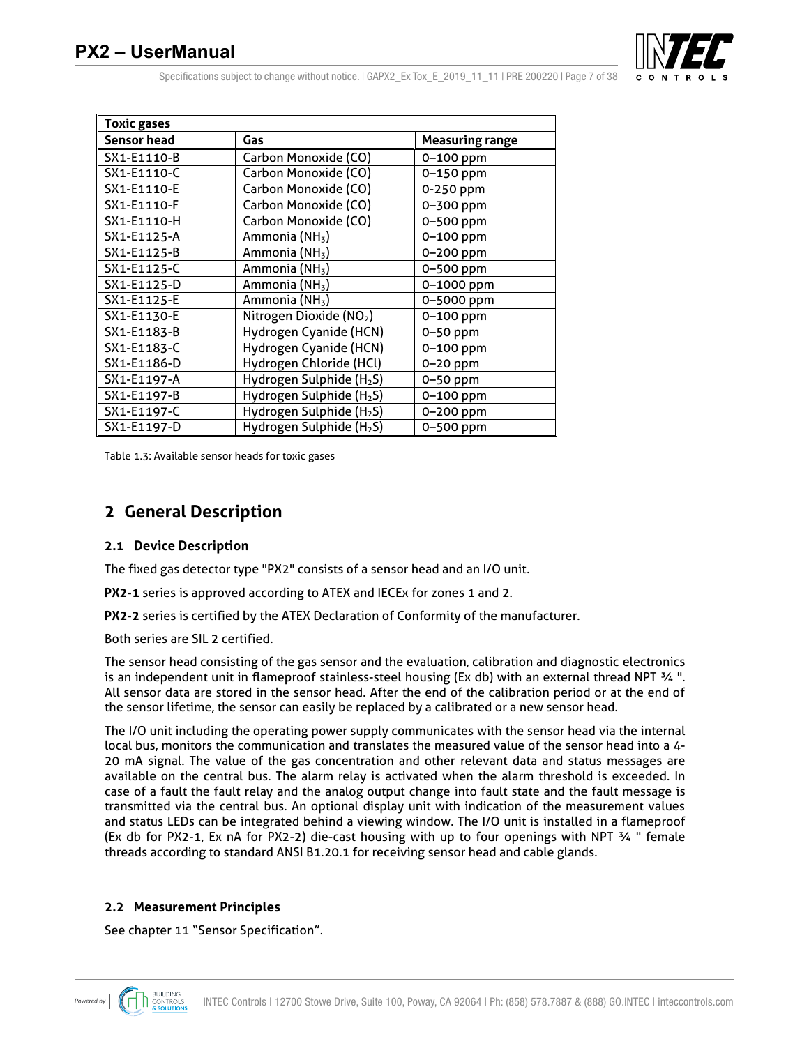

Specifications subject to change without notice.  $|$  GAPX2 Ex Tox E 2019 11 11 | PRE 200220 | Page 7 of 38

| <b>Toxic gases</b> |                                      |                        |
|--------------------|--------------------------------------|------------------------|
| Sensor head        | Gas                                  | <b>Measuring range</b> |
| SX1-E1110-B        | Carbon Monoxide (CO)                 | $0 - 100$ ppm          |
| SX1-E1110-C        | Carbon Monoxide (CO)                 | $0 - 150$ ppm          |
| SX1-E1110-E        | Carbon Monoxide (CO)                 | 0-250 ppm              |
| SX1-E1110-F        | Carbon Monoxide (CO)                 | 0-300 ppm              |
| SX1-E1110-H        | Carbon Monoxide (CO)                 | 0-500 ppm              |
| SX1-E1125-A        | Ammonia (NH <sub>3</sub> )           | 0-100 ppm              |
| SX1-E1125-B        | Ammonia (NH <sub>3</sub> )           | 0-200 ppm              |
| SX1-E1125-C        | Ammonia (NH <sub>3</sub> )           | 0-500 ppm              |
| SX1-E1125-D        | Ammonia (NH <sub>3</sub> )           | 0-1000 ppm             |
| SX1-E1125-E        | Ammonia (NH <sub>3</sub> )           | 0-5000 ppm             |
| SX1-E1130-E        | Nitrogen Dioxide (NO2)               | 0-100 ppm              |
| SX1-E1183-B        | Hydrogen Cyanide (HCN)               | 0-50 ppm               |
| SX1-E1183-C        | Hydrogen Cyanide (HCN)               | $0 - 100$ ppm          |
| SX1-E1186-D        | Hydrogen Chloride (HCl)              | 0-20 ppm               |
| SX1-E1197-A        | Hydrogen Sulphide (H <sub>2</sub> S) | 0-50 ppm               |
| SX1-E1197-B        | Hydrogen Sulphide (H <sub>2</sub> S) | $0 - 100$ ppm          |
| SX1-E1197-C        | Hydrogen Sulphide (H <sub>2</sub> S) | 0-200 ppm              |
| SX1-E1197-D        | Hydrogen Sulphide (H <sub>2</sub> S) | 0-500 ppm              |

Table 1.3: Available sensor heads for toxic gases

## **2 General Description**

#### **2.1 Device Description**

The fixed gas detector type "PX2" consists of a sensor head and an I/O unit.

**PX2-1** series is approved according to ATEX and IECEx for zones 1 and 2.

**PX2-2** series is certified by the ATEX Declaration of Conformity of the manufacturer.

Both series are SIL 2 certified.

The sensor head consisting of the gas sensor and the evaluation, calibration and diagnostic electronics is an independent unit in flameproof stainless-steel housing (Ex db) with an external thread NPT ¾ ". All sensor data are stored in the sensor head. After the end of the calibration period or at the end of the sensor lifetime, the sensor can easily be replaced by a calibrated or a new sensor head.

The I/O unit including the operating power supply communicates with the sensor head via the internal local bus, monitors the communication and translates the measured value of the sensor head into a 4- 20 mA signal. The value of the gas concentration and other relevant data and status messages are available on the central bus. The alarm relay is activated when the alarm threshold is exceeded. In case of a fault the fault relay and the analog output change into fault state and the fault message is transmitted via the central bus. An optional display unit with indication of the measurement values and status LEDs can be integrated behind a viewing window. The I/O unit is installed in a flameproof (Ex db for PX2-1, Ex nA for PX2-2) die-cast housing with up to four openings with NPT ¾ " female threads according to standard ANSI B1.20.1 for receiving sensor head and cable glands.

#### **2.2 Measurement Principles**

See chapter 11 "Sensor Specification".

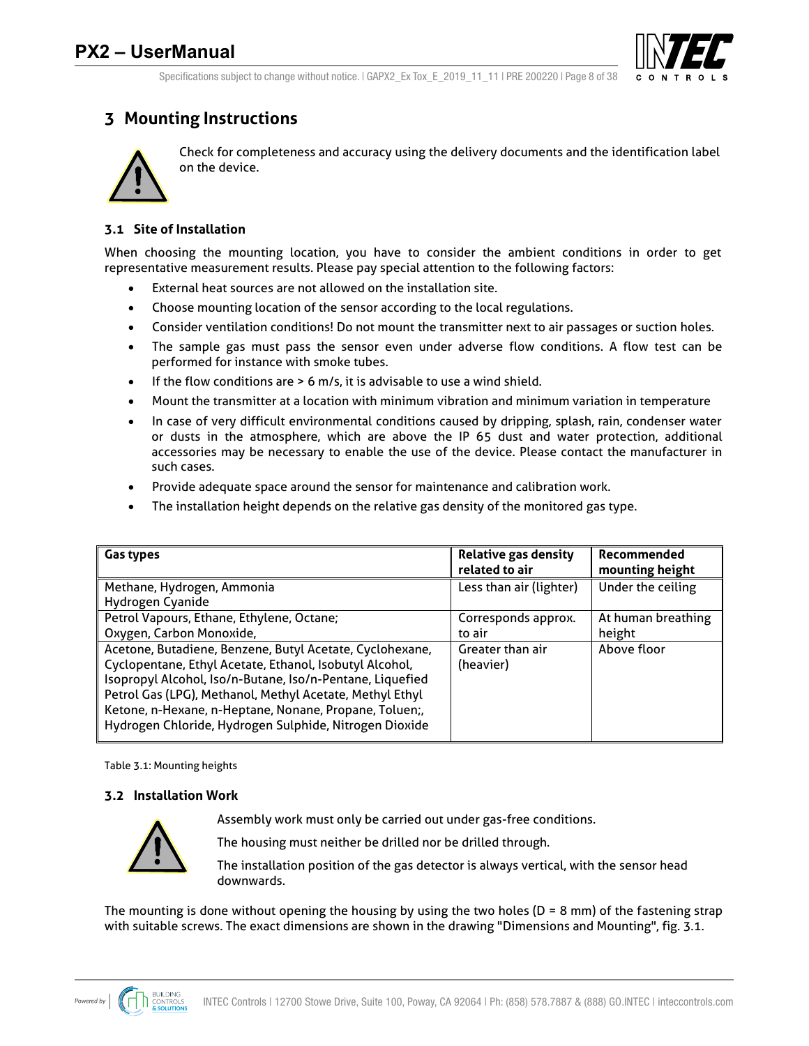

Specifications subject to change without notice.  $|$  GAPX2 Ex Tox E 2019 11 11 | PRE 200220 | Page 8 of 38

## **3 Mounting Instructions**



Check for completeness and accuracy using the delivery documents and the identification label on the device.

### **3.1 Site of Installation**

When choosing the mounting location, you have to consider the ambient conditions in order to get representative measurement results. Please pay special attention to the following factors:

- External heat sources are not allowed on the installation site.
- Choose mounting location of the sensor according to the local regulations.
- Consider ventilation conditions! Do not mount the transmitter next to air passages or suction holes.
- The sample gas must pass the sensor even under adverse flow conditions. A flow test can be performed for instance with smoke tubes.
- If the flow conditions are > 6 m/s, it is advisable to use a wind shield.
- Mount the transmitter at a location with minimum vibration and minimum variation in temperature
- In case of very difficult environmental conditions caused by dripping, splash, rain, condenser water or dusts in the atmosphere, which are above the IP 65 dust and water protection, additional accessories may be necessary to enable the use of the device. Please contact the manufacturer in such cases.
- Provide adequate space around the sensor for maintenance and calibration work.
- The installation height depends on the relative gas density of the monitored gas type.

| <b>Gas types</b>                                                                                                                                                                                                                                                                                                                                                 | <b>Relative gas density</b><br>related to air | Recommended<br>mounting height |
|------------------------------------------------------------------------------------------------------------------------------------------------------------------------------------------------------------------------------------------------------------------------------------------------------------------------------------------------------------------|-----------------------------------------------|--------------------------------|
| Methane, Hydrogen, Ammonia                                                                                                                                                                                                                                                                                                                                       | Less than air (lighter)                       | Under the ceiling              |
| Hydrogen Cyanide                                                                                                                                                                                                                                                                                                                                                 |                                               |                                |
| Petrol Vapours, Ethane, Ethylene, Octane;                                                                                                                                                                                                                                                                                                                        | Corresponds approx.                           | At human breathing             |
| Oxygen, Carbon Monoxide,                                                                                                                                                                                                                                                                                                                                         | to air                                        | height                         |
| Acetone, Butadiene, Benzene, Butyl Acetate, Cyclohexane,<br>Cyclopentane, Ethyl Acetate, Ethanol, Isobutyl Alcohol,<br>Isopropyl Alcohol, Iso/n-Butane, Iso/n-Pentane, Liquefied<br>Petrol Gas (LPG), Methanol, Methyl Acetate, Methyl Ethyl<br>Ketone, n-Hexane, n-Heptane, Nonane, Propane, Toluen;,<br>Hydrogen Chloride, Hydrogen Sulphide, Nitrogen Dioxide | Greater than air<br>(heavier)                 | Above floor                    |

Table 3.1: Mounting heights

### **3.2 Installation Work**

Assembly work must only be carried out under gas-free conditions.



The housing must neither be drilled nor be drilled through.

The installation position of the gas detector is always vertical, with the sensor head downwards.

The mounting is done without opening the housing by using the two holes ( $D = 8$  mm) of the fastening strap with suitable screws. The exact dimensions are shown in the drawing "Dimensions and Mounting", fig. 3.1.

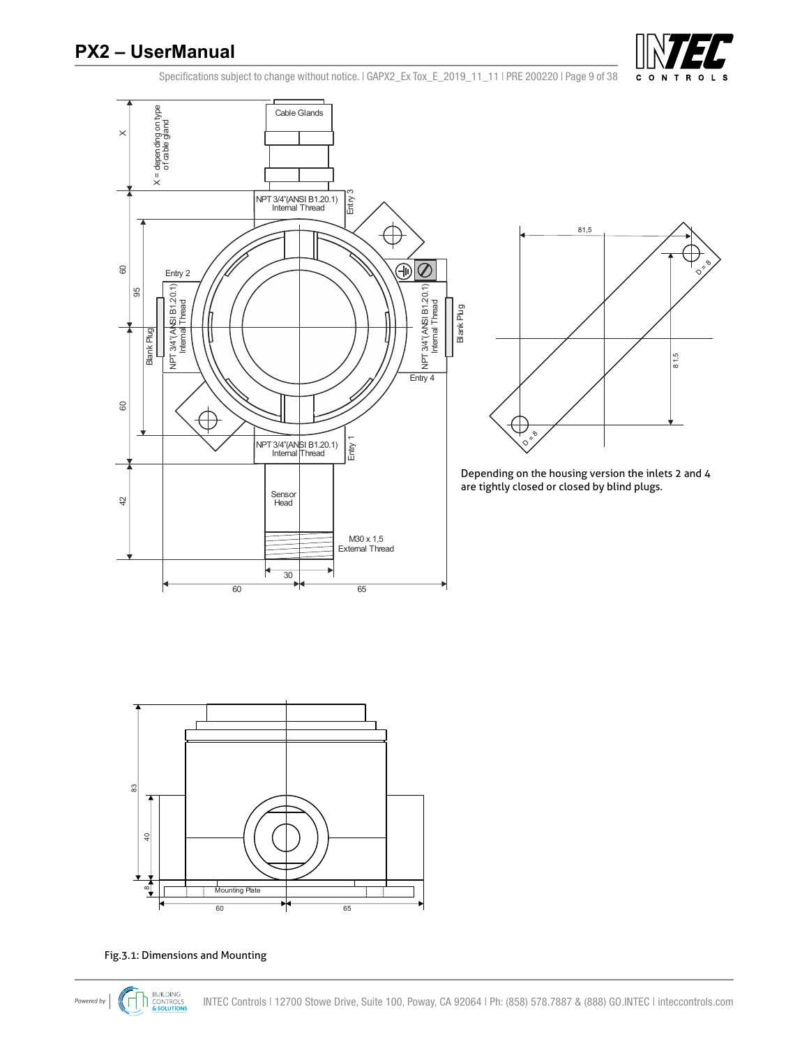

Specifications subject to change without notice. | GAPX2\_Ex Tox\_E\_2019\_11\_11 | PRE 200220 | Page 9 of 38



Fig.3.1: Dimensions and Mounting

**Mounting Plate** 

₦

60

65

 $^\infty$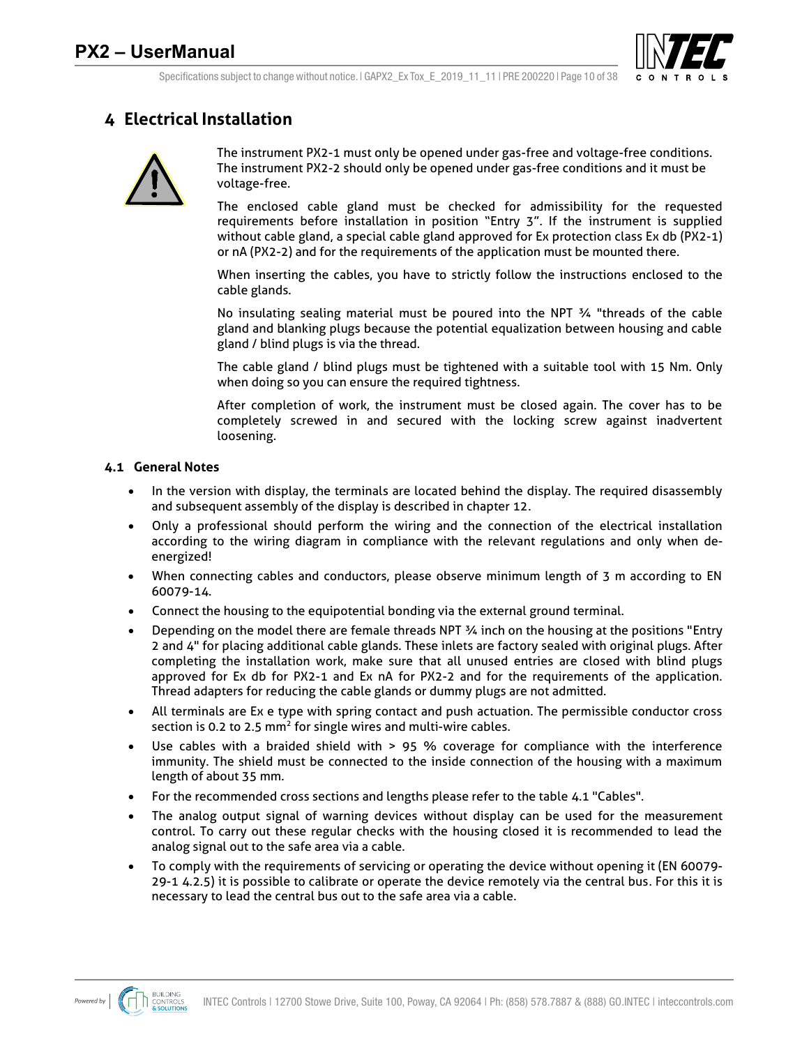

## **4 Electrical Installation**



The instrument PX2-1 must only be opened under gas-free and voltage-free conditions. The instrument PX2-2 should only be opened under gas-free conditions and it must be voltage-free.

The enclosed cable gland must be checked for admissibility for the requested requirements before installation in position "Entry 3". If the instrument is supplied without cable gland, a special cable gland approved for Ex protection class Ex db (PX2-1) or nA (PX2-2) and for the requirements of the application must be mounted there.

When inserting the cables, you have to strictly follow the instructions enclosed to the cable glands.

No insulating sealing material must be poured into the NPT ¾ "threads of the cable gland and blanking plugs because the potential equalization between housing and cable gland / blind plugs is via the thread.

The cable gland / blind plugs must be tightened with a suitable tool with 15 Nm. Only when doing so you can ensure the required tightness.

After completion of work, the instrument must be closed again. The cover has to be completely screwed in and secured with the locking screw against inadvertent loosening.

#### **4.1 General Notes**

- In the version with display, the terminals are located behind the display. The required disassembly and subsequent assembly of the display is described in chapter 12.
- Only a professional should perform the wiring and the connection of the electrical installation according to the wiring diagram in compliance with the relevant regulations and only when deenergized!
- When connecting cables and conductors, please observe minimum length of 3 m according to EN 60079-14.
- Connect the housing to the equipotential bonding via the external ground terminal.
- Depending on the model there are female threads NPT ¾ inch on the housing at the positions "Entry 2 and 4" for placing additional cable glands. These inlets are factory sealed with original plugs. After completing the installation work, make sure that all unused entries are closed with blind plugs approved for Ex db for PX2-1 and Ex nA for PX2-2 and for the requirements of the application. Thread adapters for reducing the cable glands or dummy plugs are not admitted.
- All terminals are Ex e type with spring contact and push actuation. The permissible conductor cross section is 0.2 to 2.5  $mm<sup>2</sup>$  for single wires and multi-wire cables.
- Use cables with a braided shield with > 95 % coverage for compliance with the interference immunity. The shield must be connected to the inside connection of the housing with a maximum length of about 35 mm.
- For the recommended cross sections and lengths please refer to the table 4.1 "Cables".
- The analog output signal of warning devices without display can be used for the measurement control. To carry out these regular checks with the housing closed it is recommended to lead the analog signal out to the safe area via a cable.
- To comply with the requirements of servicing or operating the device without opening it (EN 60079- 29-1 4.2.5) it is possible to calibrate or operate the device remotely via the central bus. For this it is necessary to lead the central bus out to the safe area via a cable.

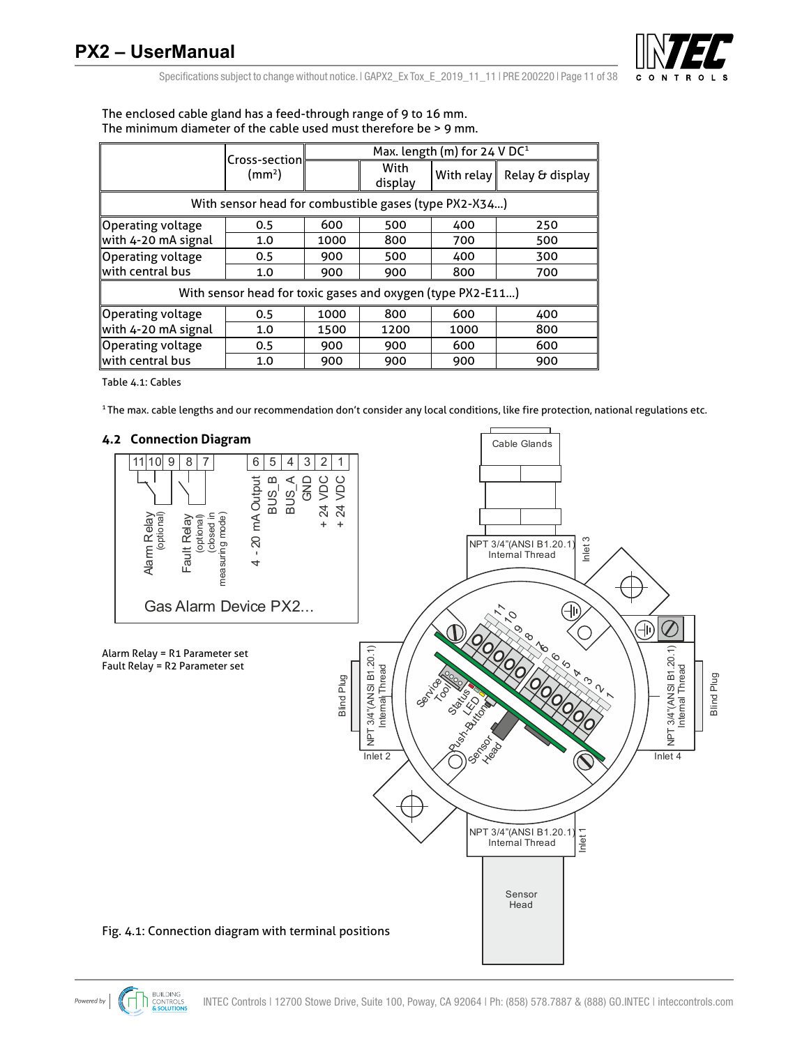

Specifications subject to change without notice.  $|$  GAPX2 Ex Tox E 2019 11 11 | PRE 200220 | Page 11 of 38

|                          | Max. length (m) for $24$ V DC <sup>1</sup><br>Cross-section |      |                 |            |                 |  |
|--------------------------|-------------------------------------------------------------|------|-----------------|------------|-----------------|--|
|                          | (mm <sup>2</sup> )                                          |      | With<br>display | With relay | Relay & display |  |
|                          | With sensor head for combustible gases (type PX2-X34)       |      |                 |            |                 |  |
| <b>Operating voltage</b> | 0.5                                                         | 600  | 500             | 400        | 250             |  |
| with 4-20 mA signal      | 1.0                                                         | 1000 | 800             | 700        | 500             |  |
| Operating voltage        | 0.5                                                         | 900  | 500             | 400        | 300             |  |
| with central bus         | 1.0                                                         | 900  | 900             | 800        | 700             |  |
|                          | With sensor head for toxic gases and oxygen (type PX2-E11)  |      |                 |            |                 |  |
| <b>Operating voltage</b> | 0.5                                                         | 1000 | 800             | 600        | 400             |  |
| with 4-20 mA signal      | 1.0                                                         | 1500 | 1200            | 1000       | 800             |  |
| Operating voltage        | 0.5                                                         | 900  | 900             | 600        | 600             |  |
| with central bus         | 1.0                                                         | 900  | 900             | 900        | 900             |  |

The enclosed cable gland has a feed-through range of 9 to 16 mm. The minimum diameter of the cable used must therefore be > 9 mm.

Table 4.1: Cables

1 The max. cable lengths and our recommendation don't consider any local conditions, like fire protection, national regulations etc.

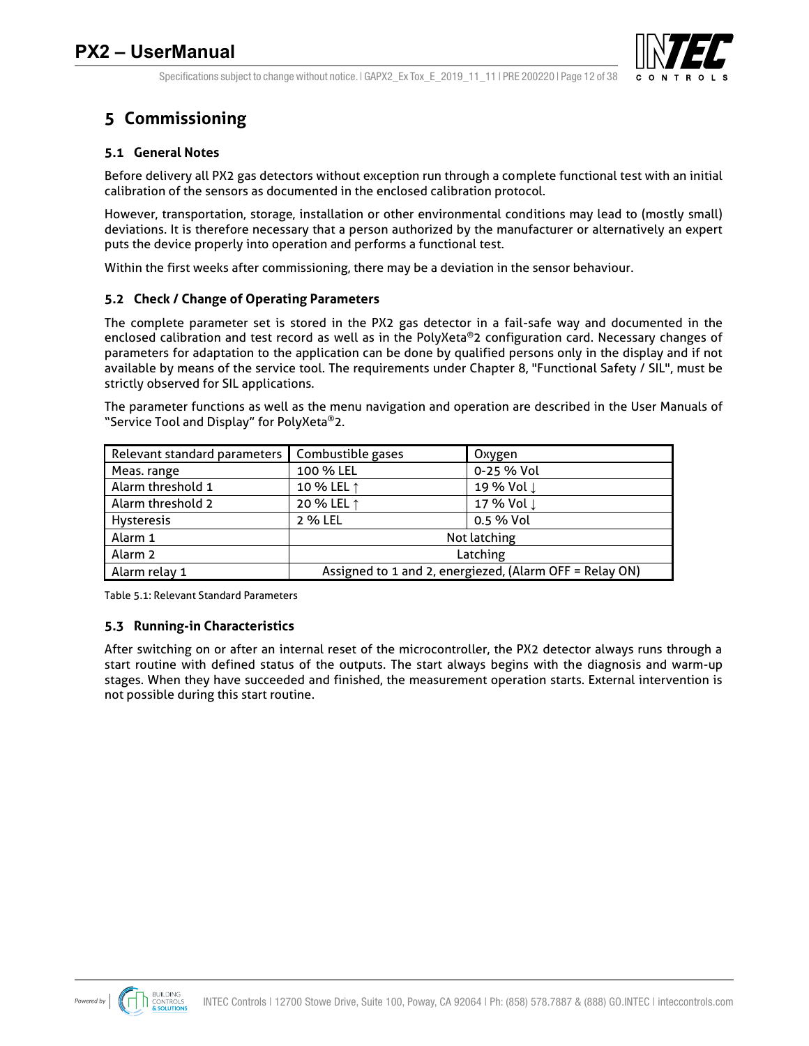

Specifications subject to change without notice.  $|$  GAPX2 Ex Tox E 2019 11 11 | PRE 200220 | Page 12 of 38

## **5 Commissioning**

### **5.1 General Notes**

Before delivery all PX2 gas detectors without exception run through a complete functional test with an initial calibration of the sensors as documented in the enclosed calibration protocol.

However, transportation, storage, installation or other environmental conditions may lead to (mostly small) deviations. It is therefore necessary that a person authorized by the manufacturer or alternatively an expert puts the device properly into operation and performs a functional test.

Within the first weeks after commissioning, there may be a deviation in the sensor behaviour.

### **5.2 Check / Change of Operating Parameters**

The complete parameter set is stored in the PX2 gas detector in a fail-safe way and documented in the enclosed calibration and test record as well as in the PolyXeta®2 configuration card. Necessary changes of parameters for adaptation to the application can be done by qualified persons only in the display and if not available by means of the service tool. The requirements under Chapter 8, "Functional Safety / SIL", must be strictly observed for SIL applications.

The parameter functions as well as the menu navigation and operation are described in the User Manuals of "Service Tool and Display" for PolyXeta®2.

| Relevant standard parameters | Combustible gases<br>Oxygen                             |            |  |
|------------------------------|---------------------------------------------------------|------------|--|
| Meas. range                  | 100 % LEL                                               | 0-25 % Vol |  |
| Alarm threshold 1            | 10 % LEL 1                                              | 19 % Vol ↓ |  |
| Alarm threshold 2            | 20 % LEL ↑                                              | 17 % Vol ↓ |  |
| Hysteresis                   | 2 % LEL<br>0.5 % Vol                                    |            |  |
| Alarm 1                      | Not latching                                            |            |  |
| Alarm 2                      | Latching                                                |            |  |
| Alarm relay 1                | Assigned to 1 and 2, energiezed, (Alarm OFF = Relay ON) |            |  |

Table 5.1: Relevant Standard Parameters

### **5.3 Running-in Characteristics**

After switching on or after an internal reset of the microcontroller, the PX2 detector always runs through a start routine with defined status of the outputs. The start always begins with the diagnosis and warm-up stages. When they have succeeded and finished, the measurement operation starts. External intervention is not possible during this start routine.

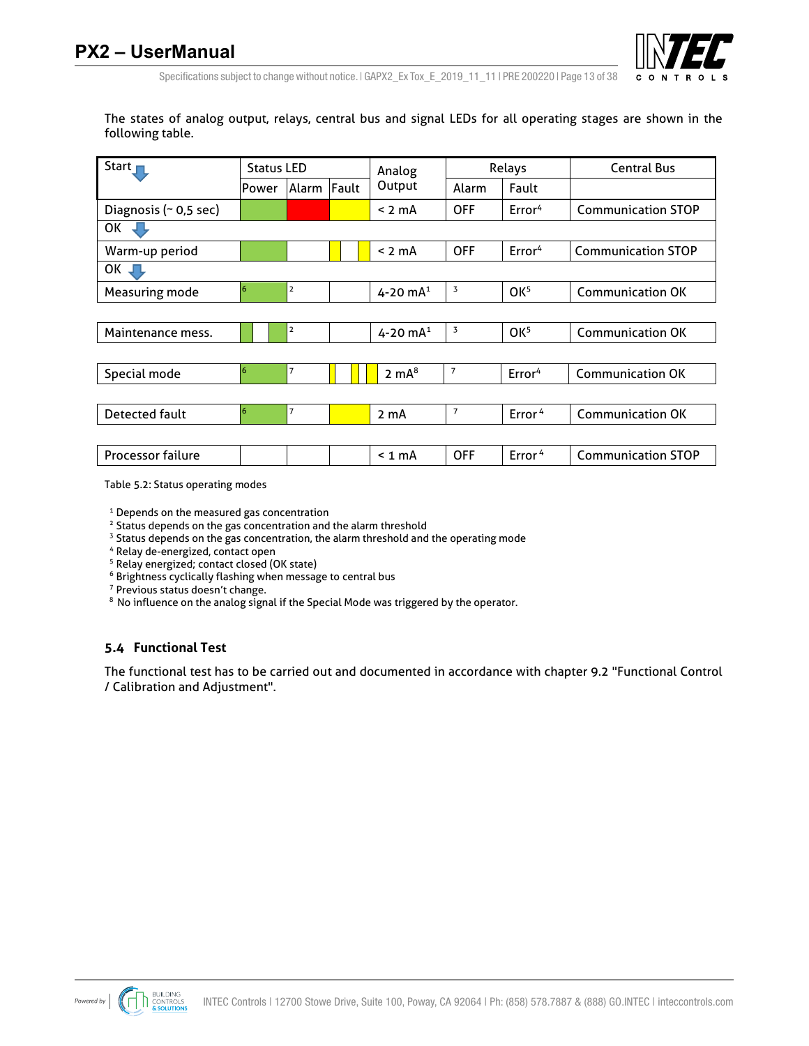

Specifications subject to change without notice.  $|$  GAPX2 Ex Tox E 2019 11 11 | PRE 200220 | Page 13 of 38

The states of analog output, relays, central bus and signal LEDs for all operating stages are shown in the following table.

| Start $\blacksquare$     | <b>Status LED</b> |       | Analog | Relays           |                | <b>Central Bus</b> |                           |
|--------------------------|-------------------|-------|--------|------------------|----------------|--------------------|---------------------------|
|                          | Power             | Alarm | Fault  | Output           | Alarm          | Fault              |                           |
| Diagnosis (~ 0,5 sec)    |                   |       |        | $< 2 \text{ mA}$ | <b>OFF</b>     | Error <sup>4</sup> | <b>Communication STOP</b> |
| OK                       |                   |       |        |                  |                |                    |                           |
| Warm-up period           |                   |       |        | $< 2$ mA         | <b>OFF</b>     | Error <sup>4</sup> | <b>Communication STOP</b> |
| OK $\Box$                |                   |       |        |                  |                |                    |                           |
| Measuring mode           | 6                 | 2     |        | 4-20 $mA^1$      | 3              | OK <sup>5</sup>    | <b>Communication OK</b>   |
|                          |                   |       |        |                  |                |                    |                           |
| Maintenance mess.        |                   | 2     |        | 4-20 $mA^1$      | 3              | OK <sup>5</sup>    | <b>Communication OK</b>   |
|                          |                   |       |        |                  |                |                    |                           |
| Special mode             | 6                 | 7     |        | $2 \text{ mA}^8$ | $\overline{7}$ | Error <sup>4</sup> | <b>Communication OK</b>   |
|                          |                   |       |        |                  |                |                    |                           |
| Detected fault           | 6                 | 7     |        | 2 <sub>m</sub> A | $\overline{7}$ | Error <sup>4</sup> | <b>Communication OK</b>   |
|                          |                   |       |        |                  |                |                    |                           |
| <b>Processor failure</b> |                   |       |        | $< 1$ mA         | <b>OFF</b>     | Error <sup>4</sup> | <b>Communication STOP</b> |

Table 5.2: Status operating modes

<sup>1</sup> Depends on the measured gas concentration

<sup>2</sup> Status depends on the gas concentration and the alarm threshold

<sup>3</sup> Status depends on the gas concentration, the alarm threshold and the operating mode

4 Relay de-energized, contact open

5 Relay energized; contact closed (OK state)

 $6$  Brightness cyclically flashing when message to central bus  $7$  Previous status doesn't change.

<sup>8</sup> No influence on the analog signal if the Special Mode was triggered by the operator.

#### **5.4 Functional Test**

The functional test has to be carried out and documented in accordance with chapter 9.2 "Functional Control / Calibration and Adjustment".

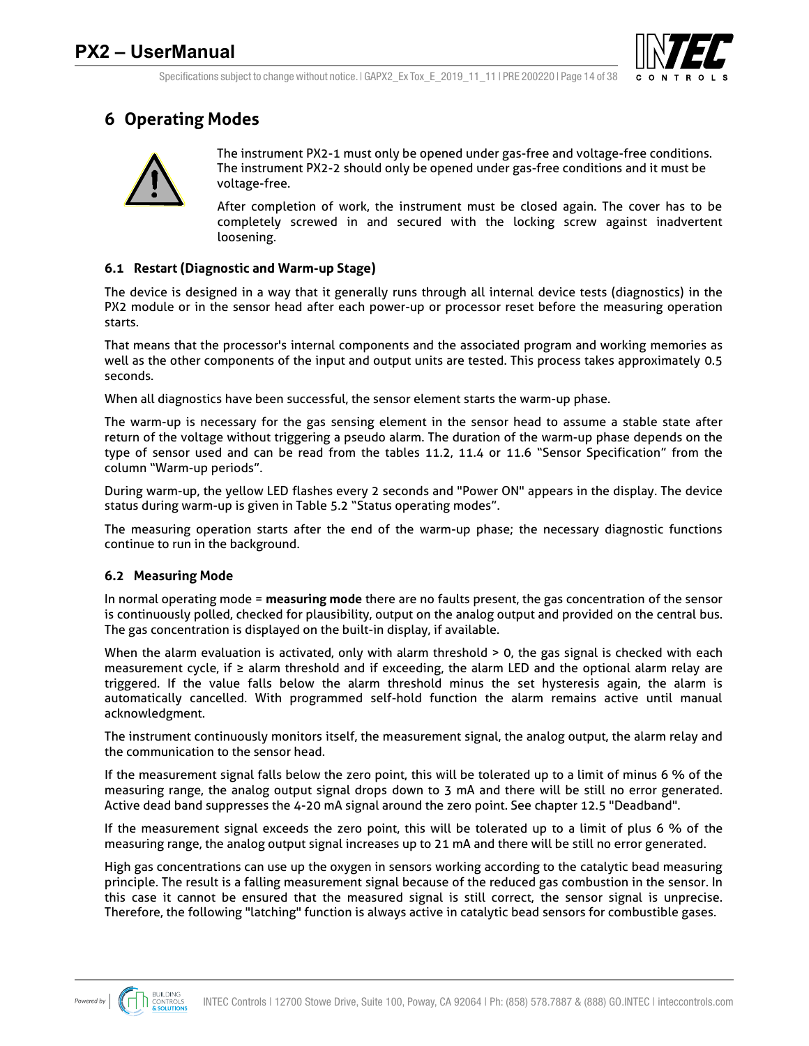

## **6 Operating Modes**



The instrument PX2-1 must only be opened under gas-free and voltage-free conditions. The instrument PX2-2 should only be opened under gas-free conditions and it must be voltage-free.

After completion of work, the instrument must be closed again. The cover has to be completely screwed in and secured with the locking screw against inadvertent loosening.

#### **6.1 Restart (Diagnostic and Warm-up Stage)**

The device is designed in a way that it generally runs through all internal device tests (diagnostics) in the PX2 module or in the sensor head after each power-up or processor reset before the measuring operation starts.

That means that the processor's internal components and the associated program and working memories as well as the other components of the input and output units are tested. This process takes approximately 0.5 seconds.

When all diagnostics have been successful, the sensor element starts the warm-up phase.

The warm-up is necessary for the gas sensing element in the sensor head to assume a stable state after return of the voltage without triggering a pseudo alarm. The duration of the warm-up phase depends on the type of sensor used and can be read from the tables 11.2, 11.4 or 11.6 "Sensor Specification" from the column "Warm-up periods".

During warm-up, the yellow LED flashes every 2 seconds and "Power ON" appears in the display. The device status during warm-up is given in Table 5.2 "Status operating modes".

The measuring operation starts after the end of the warm-up phase; the necessary diagnostic functions continue to run in the background.

#### **6.2 Measuring Mode**

In normal operating mode = **measuring mode** there are no faults present, the gas concentration of the sensor is continuously polled, checked for plausibility, output on the analog output and provided on the central bus. The gas concentration is displayed on the built-in display, if available.

When the alarm evaluation is activated, only with alarm threshold > 0, the gas signal is checked with each measurement cycle, if ≥ alarm threshold and if exceeding, the alarm LED and the optional alarm relay are triggered. If the value falls below the alarm threshold minus the set hysteresis again, the alarm is automatically cancelled. With programmed self-hold function the alarm remains active until manual acknowledgment.

The instrument continuously monitors itself, the measurement signal, the analog output, the alarm relay and the communication to the sensor head.

If the measurement signal falls below the zero point, this will be tolerated up to a limit of minus 6 % of the measuring range, the analog output signal drops down to 3 mA and there will be still no error generated. Active dead band suppresses the 4-20 mA signal around the zero point. See chapter 12.5 "Deadband".

If the measurement signal exceeds the zero point, this will be tolerated up to a limit of plus 6 % of the measuring range, the analog output signal increases up to 21 mA and there will be still no error generated.

High gas concentrations can use up the oxygen in sensors working according to the catalytic bead measuring principle. The result is a falling measurement signal because of the reduced gas combustion in the sensor. In this case it cannot be ensured that the measured signal is still correct, the sensor signal is unprecise. Therefore, the following "latching" function is always active in catalytic bead sensors for combustible gases.

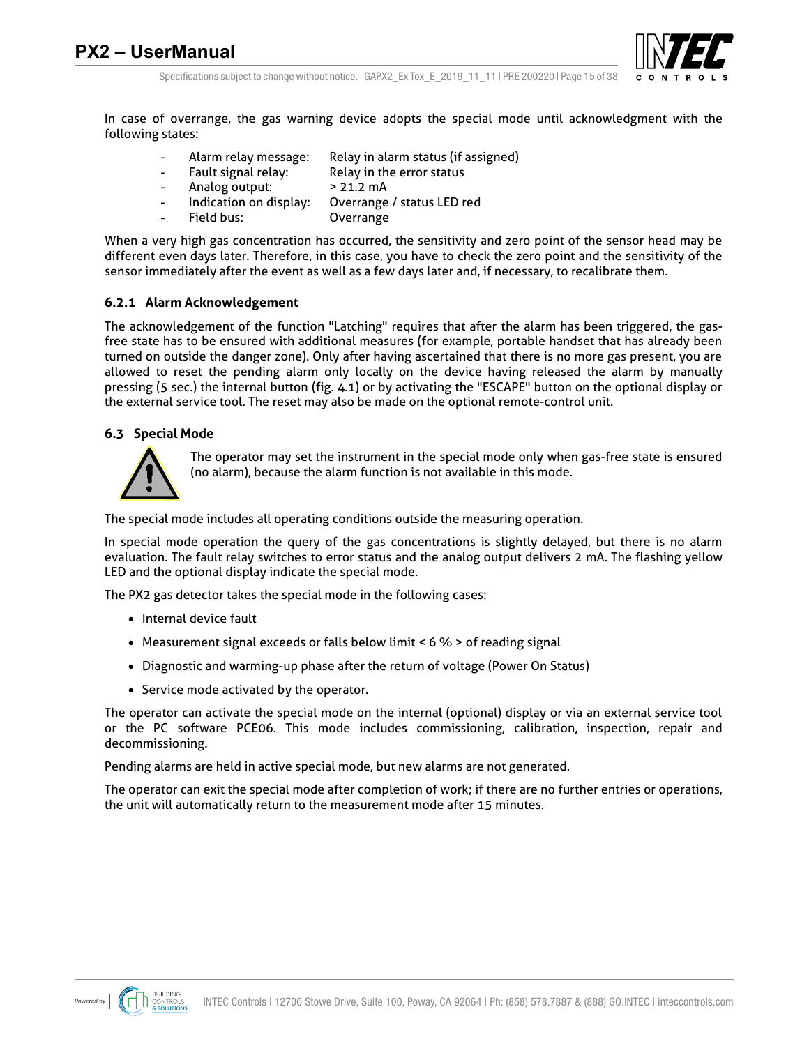

Specifications subject to change without notice. I GAPX2 Ex Tox E 2019 11 11 I PRE 200220 I Page 15 of 38

In case of overrange, the gas warning device adopts the special mode until acknowledgment with the following states:

- Alarm relay message: Relay in alarm status (if assigned)
- Fault signal relay: Relay in the error status
- Analog output: > 21.2 mA
- Indication on display: Overrange / status LED red
- Field bus: Overrange

When a very high gas concentration has occurred, the sensitivity and zero point of the sensor head may be different even days later. Therefore, in this case, you have to check the zero point and the sensitivity of the sensor immediately after the event as well as a few days later and, if necessary, to recalibrate them.

#### **6.2.1 Alarm Acknowledgement**

The acknowledgement of the function "Latching" requires that after the alarm has been triggered, the gasfree state has to be ensured with additional measures (for example, portable handset that has already been turned on outside the danger zone). Only after having ascertained that there is no more gas present, you are allowed to reset the pending alarm only locally on the device having released the alarm by manually pressing (5 sec.) the internal button (fig. 4.1) or by activating the "ESCAPE" button on the optional display or the external service tool. The reset may also be made on the optional remote-control unit.

#### **6.3 Special Mode**



The operator may set the instrument in the special mode only when gas-free state is ensured (no alarm), because the alarm function is not available in this mode.

The special mode includes all operating conditions outside the measuring operation.

In special mode operation the query of the gas concentrations is slightly delayed, but there is no alarm evaluation. The fault relay switches to error status and the analog output delivers 2 mA. The flashing yellow LED and the optional display indicate the special mode.

The PX2 gas detector takes the special mode in the following cases:

- Internal device fault
- Measurement signal exceeds or falls below limit < 6 % > of reading signal
- Diagnostic and warming-up phase after the return of voltage (Power On Status)
- Service mode activated by the operator.

The operator can activate the special mode on the internal (optional) display or via an external service tool or the PC software PCE06. This mode includes commissioning, calibration, inspection, repair and decommissioning.

Pending alarms are held in active special mode, but new alarms are not generated.

The operator can exit the special mode after completion of work; if there are no further entries or operations, the unit will automatically return to the measurement mode after 15 minutes.

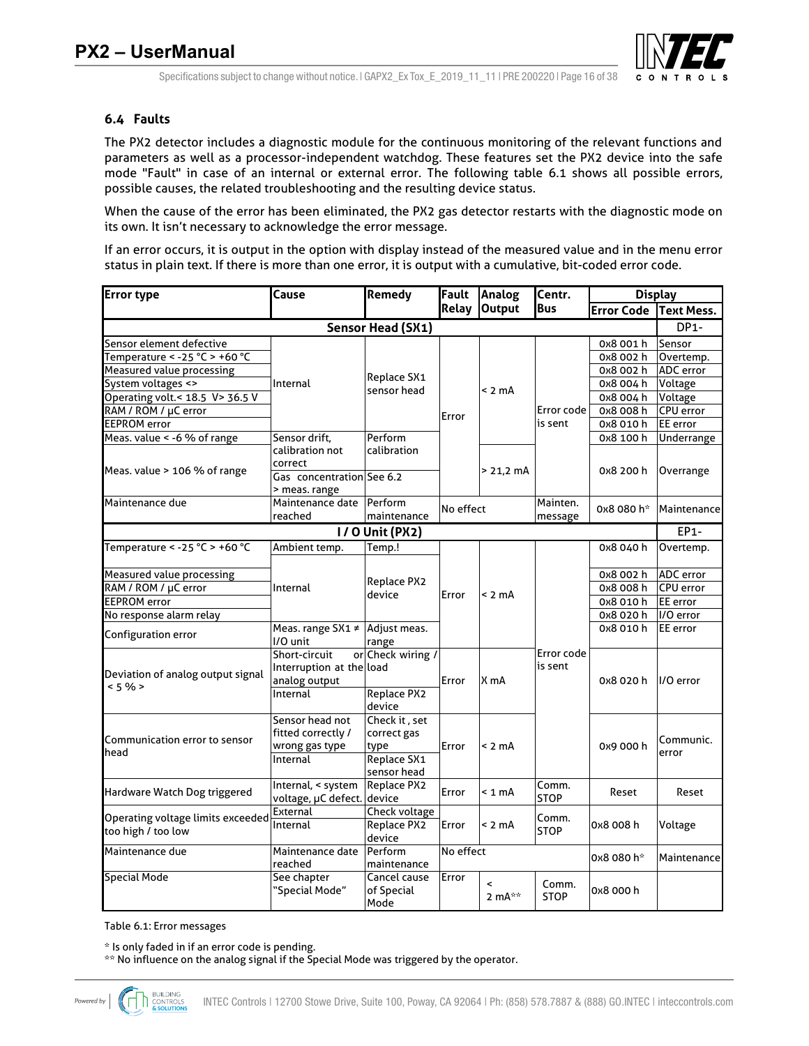

#### **6.4 Faults**

The PX2 detector includes a diagnostic module for the continuous monitoring of the relevant functions and parameters as well as a processor-independent watchdog. These features set the PX2 device into the safe mode "Fault" in case of an internal or external error. The following table 6.1 shows all possible errors, possible causes, the related troubleshooting and the resulting device status.

When the cause of the error has been eliminated, the PX2 gas detector restarts with the diagnostic mode on its own. It isn't necessary to acknowledge the error message.

If an error occurs, it is output in the option with display instead of the measured value and in the menu error status in plain text. If there is more than one error, it is output with a cumulative, bit-coded error code.

| <b>Error type</b>                 | Cause                      | <b>Remedy</b>                       | Analog<br>Fault |           | Centr.      | <b>Display</b>    |                   |
|-----------------------------------|----------------------------|-------------------------------------|-----------------|-----------|-------------|-------------------|-------------------|
|                                   |                            |                                     | <b>Relay</b>    | Output    | <b>Bus</b>  | <b>Error Code</b> | <b>Text Mess.</b> |
|                                   |                            | Sensor Head (SX1)                   |                 |           |             |                   | DP <sub>1</sub> - |
| Sensor element defective          |                            |                                     |                 |           |             | 0x8 001 h         | Sensor            |
| Temperature < -25 °C > +60 °C     |                            |                                     |                 |           |             | 0x8 002 h         | Overtemp.         |
| Measured value processing         |                            |                                     |                 |           |             | 0x8 002 h         | <b>ADC</b> error  |
| System voltages <>                | Internal                   | Replace SX1<br>sensor head          |                 |           |             | 0x8 004 h         | Voltage           |
| Operating volt.< 18.5 V> 36.5 V   |                            |                                     |                 | $< 2$ mA  |             | 0x8 004 h         | Voltage           |
| RAM / ROM / µC error              |                            |                                     | Error           |           | Error code  | 0x8 008 h         | <b>CPU</b> error  |
| <b>EEPROM</b> error               |                            |                                     |                 |           | is sent     | 0x8 010 h         | EE error          |
| Meas. value < -6 % of range       | Sensor drift,              | Perform                             |                 |           |             | 0x8 100 h         | Underrange        |
|                                   | calibration not            | calibration                         |                 |           |             |                   |                   |
| Meas. value > 106 % of range      | correct                    |                                     |                 | > 21,2 mA |             | 0x8 200 h         | Overrange         |
|                                   | Gas concentration See 6.2  |                                     |                 |           |             |                   |                   |
|                                   | > meas. range              |                                     |                 |           |             |                   |                   |
| Maintenance due                   | Maintenance date           | Perform                             | No effect       |           | Mainten.    | 0x8 080 h*        | Maintenance       |
|                                   | reached                    | maintenance                         |                 |           | message     |                   |                   |
| <b>1/0 Unit (PX2)</b><br>EP1-     |                            |                                     |                 |           |             |                   |                   |
| Temperature < - 25 °C > +60 °C    | Ambient temp.              | Temp.!                              |                 |           |             | 0x8 040 h         | Overtemp.         |
| Measured value processing         |                            |                                     |                 |           |             | 0x8 002 h         | <b>ADC</b> error  |
| RAM / ROM / µC error              | Internal                   | Replace PX2                         |                 |           |             | 0x8 008 h         | <b>CPU</b> error  |
| <b>EEPROM</b> error               |                            | device                              | Error           | $< 2$ mA  |             | 0x8 010 h         | EE error          |
| No response alarm relay           |                            |                                     |                 |           |             | 0x8 020 h         | I/O error         |
|                                   |                            | Meas. range SX1 $\neq$ Adjust meas. |                 |           |             | 0x8 010 h         | EE error          |
| Configuration error               | I/O unit                   | range                               |                 |           |             |                   |                   |
|                                   | Short-circuit              | or Check wiring /                   |                 |           | Error code  |                   |                   |
| Deviation of analog output signal | Interruption at the load   |                                     |                 |           | is sent     | 0x8 020 h         | I/O error         |
| < 5%                              | analog output              |                                     | Error           | X mA      |             |                   |                   |
|                                   | Internal                   | <b>Replace PX2</b>                  |                 |           |             |                   |                   |
|                                   |                            | device                              |                 |           |             |                   |                   |
|                                   | Sensor head not            | Check it, set                       |                 |           |             |                   |                   |
| Communication error to sensor     | fitted correctly /         | correct gas                         |                 |           |             |                   | Communic.         |
| head                              | wrong gas type             | type                                | Error           | $< 2$ mA  |             | 0x9 000 h         | error             |
|                                   | Internal                   | Replace SX1                         |                 |           |             |                   |                   |
|                                   |                            | sensor head                         |                 |           |             |                   |                   |
| Hardware Watch Dog triggered      | Internal, < system         | Replace PX2                         | Error           | $< 1$ mA  | Comm.       | Reset             | Reset             |
|                                   | voltage, µC defect. device |                                     |                 |           | <b>STOP</b> |                   |                   |
| Operating voltage limits exceeded | External                   | Check voltage                       |                 |           | Comm.       |                   |                   |
| too high / too low                | Internal                   | Replace PX2<br>device               | Error           | < 2 mA    | <b>STOP</b> | 0x8 008 h         | Voltage           |
| Maintenance due                   | Maintenance date           | Perform                             |                 |           |             |                   |                   |
|                                   | reached                    | maintenance                         | No effect       |           |             | 0x8 080 h*        | Maintenance       |
| <b>Special Mode</b>               | See chapter                | Cancel cause                        | Error           |           |             |                   |                   |
|                                   | "Special Mode"             | of Special                          |                 | <         | Comm.       | 0x8 000 h         |                   |
|                                   |                            | Mode                                |                 | 2 $mA**$  | <b>STOP</b> |                   |                   |

Table 6.1: Error messages

\* Is only faded in if an error code is pending.

\*\* No influence on the analog signal if the Special Mode was triggered by the operator.

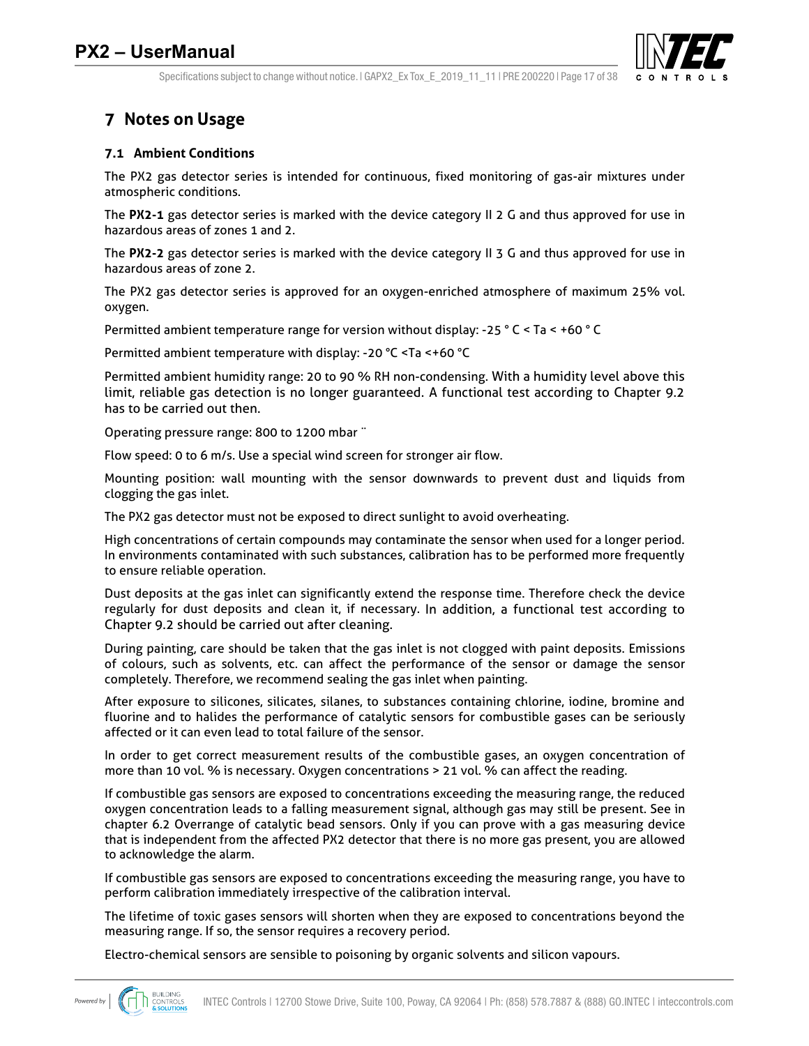

Specifications subject to change without notice. I GAPX2 Ex Tox E 2019 11 11 I PRE 200220 I Page 17 of 38

## **7 Notes on Usage**

#### **7.1 Ambient Conditions**

The PX2 gas detector series is intended for continuous, fixed monitoring of gas-air mixtures under atmospheric conditions.

The **PX2-1** gas detector series is marked with the device category II 2 G and thus approved for use in hazardous areas of zones 1 and 2.

The **PX2-2** gas detector series is marked with the device category II 3 G and thus approved for use in hazardous areas of zone 2.

The PX2 gas detector series is approved for an oxygen-enriched atmosphere of maximum 25% vol. oxygen.

Permitted ambient temperature range for version without display: -25 ° C < Ta < +60 ° C

Permitted ambient temperature with display: -20 °C <Ta <+60 °C

Permitted ambient humidity range: 20 to 90 % RH non-condensing. With a humidity level above this limit, reliable gas detection is no longer guaranteed. A functional test according to Chapter 9.2 has to be carried out then.

Operating pressure range: 800 to 1200 mbar ¨

Flow speed: 0 to 6 m/s. Use a special wind screen for stronger air flow.

Mounting position: wall mounting with the sensor downwards to prevent dust and liquids from clogging the gas inlet.

The PX2 gas detector must not be exposed to direct sunlight to avoid overheating.

High concentrations of certain compounds may contaminate the sensor when used for a longer period. In environments contaminated with such substances, calibration has to be performed more frequently to ensure reliable operation.

Dust deposits at the gas inlet can significantly extend the response time. Therefore check the device regularly for dust deposits and clean it, if necessary. In addition, a functional test according to Chapter 9.2 should be carried out after cleaning.

During painting, care should be taken that the gas inlet is not clogged with paint deposits. Emissions of colours, such as solvents, etc. can affect the performance of the sensor or damage the sensor completely. Therefore, we recommend sealing the gas inlet when painting.

After exposure to silicones, silicates, silanes, to substances containing chlorine, iodine, bromine and fluorine and to halides the performance of catalytic sensors for combustible gases can be seriously affected or it can even lead to total failure of the sensor.

In order to get correct measurement results of the combustible gases, an oxygen concentration of more than 10 vol. % is necessary. Oxygen concentrations > 21 vol. % can affect the reading.

If combustible gas sensors are exposed to concentrations exceeding the measuring range, the reduced oxygen concentration leads to a falling measurement signal, although gas may still be present. See in chapter 6.2 Overrange of catalytic bead sensors. Only if you can prove with a gas measuring device that is independent from the affected PX2 detector that there is no more gas present, you are allowed to acknowledge the alarm.

If combustible gas sensors are exposed to concentrations exceeding the measuring range, you have to perform calibration immediately irrespective of the calibration interval.

The lifetime of toxic gases sensors will shorten when they are exposed to concentrations beyond the measuring range. If so, the sensor requires a recovery period.

Electro-chemical sensors are sensible to poisoning by organic solvents and silicon vapours.

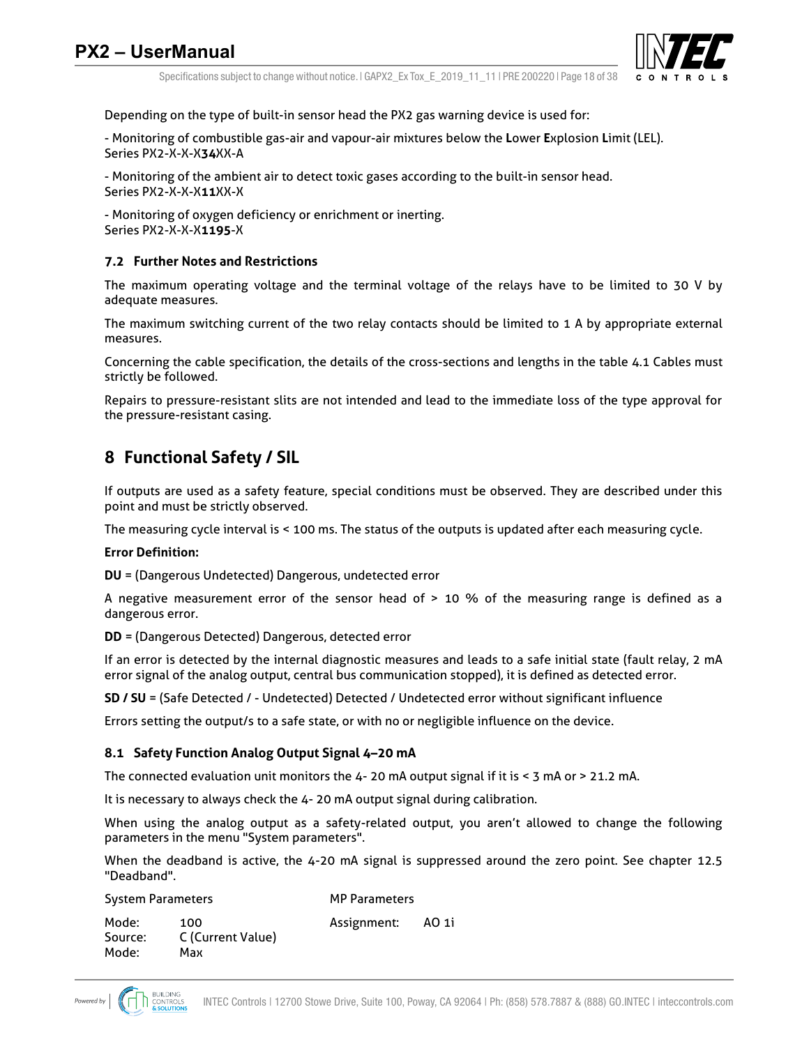

Specifications subject to change without notice. I GAPX2 Ex Tox E 2019 11 11 I PRE 200220 I Page 18 of 38

Depending on the type of built-in sensor head the PX2 gas warning device is used for:

- Monitoring of combustible gas-air and vapour-air mixtures below the **L**ower **E**xplosion **L**imit (LEL). Series PX2-X-X-X**34**XX-A

- Monitoring of the ambient air to detect toxic gases according to the built-in sensor head. Series PX2-X-X-X**11**XX-X

- Monitoring of oxygen deficiency or enrichment or inerting. Series PX2-X-X-X**1195**-X

#### **7.2 Further Notes and Restrictions**

The maximum operating voltage and the terminal voltage of the relays have to be limited to 30 V by adequate measures.

The maximum switching current of the two relay contacts should be limited to 1 A by appropriate external measures.

Concerning the cable specification, the details of the cross-sections and lengths in the table 4.1 Cables must strictly be followed.

Repairs to pressure-resistant slits are not intended and lead to the immediate loss of the type approval for the pressure-resistant casing.

## **8 Functional Safety / SIL**

If outputs are used as a safety feature, special conditions must be observed. They are described under this point and must be strictly observed.

The measuring cycle interval is < 100 ms. The status of the outputs is updated after each measuring cycle.

#### **Error Definition:**

**DU** = (Dangerous Undetected) Dangerous, undetected error

A negative measurement error of the sensor head of > 10 % of the measuring range is defined as a dangerous error.

**DD** = (Dangerous Detected) Dangerous, detected error

If an error is detected by the internal diagnostic measures and leads to a safe initial state (fault relay, 2 mA error signal of the analog output, central bus communication stopped), it is defined as detected error.

**SD / SU** = (Safe Detected / - Undetected) Detected / Undetected error without significant influence

Errors setting the output/s to a safe state, or with no or negligible influence on the device.

#### **8.1 Safety Function Analog Output Signal 4–20 mA**

The connected evaluation unit monitors the 4- 20 mA output signal if it is < 3 mA or > 21.2 mA.

It is necessary to always check the 4- 20 mA output signal during calibration.

When using the analog output as a safety-related output, you aren't allowed to change the following parameters in the menu "System parameters".

When the deadband is active, the 4-20 mA signal is suppressed around the zero point. See chapter 12.5 "Deadband".

| <b>System Parameters</b> |                          | <b>MP Parameters</b> |       |
|--------------------------|--------------------------|----------------------|-------|
| Mode:<br>Source:         | 100<br>C (Current Value) | Assignment:          | AO 1i |
| Mode:                    | Max                      |                      |       |

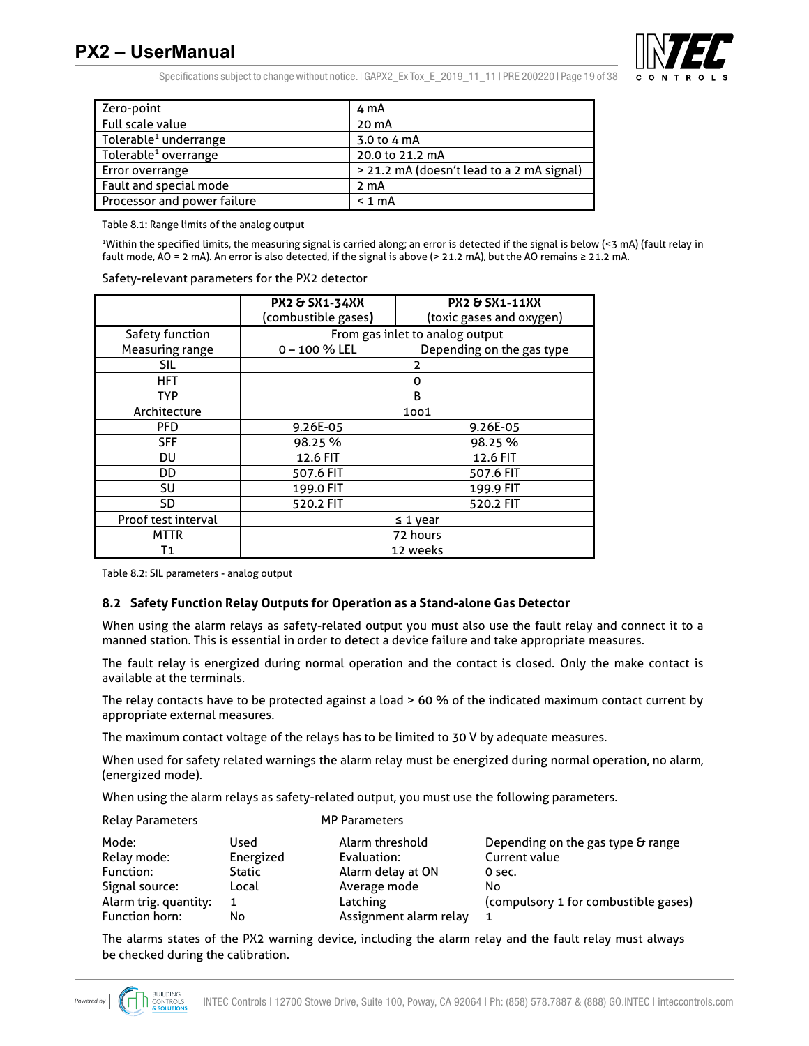## **PX2 – UserManual**



Specifications subject to change without notice.  $|$  GAPX2 Ex Tox E 2019 11 11 | PRE 200220 | Page 19 of 38

| Zero-point                        | 4 mA                                      |
|-----------------------------------|-------------------------------------------|
| Full scale value                  | 20 mA                                     |
| Tolerable <sup>1</sup> underrange | 3.0 to 4 mA                               |
| Tolerable <sup>1</sup> overrange  | 20.0 to 21.2 mA                           |
| <b>Error overrange</b>            | > 21.2 mA (doesn't lead to a 2 mA signal) |
| Fault and special mode            | 2 mA                                      |
| Processor and power failure       | $< 1$ mA                                  |

Table 8.1: Range limits of the analog output

1 Within the specified limits, the measuring signal is carried along; an error is detected if the signal is below (<3 mA) (fault relay in fault mode, AO = 2 mA). An error is also detected, if the signal is above (> 21.2 mA), but the AO remains ≥ 21.2 mA.

| Safety-relevant parameters for the PX2 detector |  |  |
|-------------------------------------------------|--|--|
|-------------------------------------------------|--|--|

|                     | <b>PX2 &amp; SX1-34XX</b>       | <b>PX2 &amp; SX1-11XX</b> |  |  |  |  |  |
|---------------------|---------------------------------|---------------------------|--|--|--|--|--|
|                     | (combustible gases)             | (toxic gases and oxygen)  |  |  |  |  |  |
| Safety function     | From gas inlet to analog output |                           |  |  |  |  |  |
| Measuring range     | $0 - 100 \%$ LEL                | Depending on the gas type |  |  |  |  |  |
| SIL                 |                                 | 2                         |  |  |  |  |  |
| <b>HFT</b>          |                                 | 0                         |  |  |  |  |  |
| <b>TYP</b>          |                                 | B                         |  |  |  |  |  |
| Architecture        |                                 | 1001                      |  |  |  |  |  |
| <b>PFD</b>          | 9.26E-05                        | 9.26E-05                  |  |  |  |  |  |
| <b>SFF</b>          | 98.25%                          | 98.25%                    |  |  |  |  |  |
| DU                  | 12.6 FIT                        | 12.6 FIT                  |  |  |  |  |  |
| DD                  | 507.6 FIT                       | 507.6 FIT                 |  |  |  |  |  |
| SU                  | 199.0 FIT                       | 199.9 FIT                 |  |  |  |  |  |
| SD                  | 520.2 FIT<br>520.2 FIT          |                           |  |  |  |  |  |
| Proof test interval |                                 | $\leq 1$ year             |  |  |  |  |  |
| <b>MTTR</b>         | 72 hours                        |                           |  |  |  |  |  |
| Τ1                  |                                 | 12 weeks                  |  |  |  |  |  |

Table 8.2: SIL parameters - analog output

Relay Parameters MP Parameters

#### **8.2 Safety Function Relay Outputs for Operation as a Stand-alone Gas Detector**

When using the alarm relays as safety-related output you must also use the fault relay and connect it to a manned station. This is essential in order to detect a device failure and take appropriate measures.

The fault relay is energized during normal operation and the contact is closed. Only the make contact is available at the terminals.

The relay contacts have to be protected against a load > 60 % of the indicated maximum contact current by appropriate external measures.

The maximum contact voltage of the relays has to be limited to 30 V by adequate measures.

When used for safety related warnings the alarm relay must be energized during normal operation, no alarm, (energized mode).

When using the alarm relays as safety-related output, you must use the following parameters.

| <b>INCION FOI OILIC ICID</b> |               | נוסוסוווכנכוג          |                                      |
|------------------------------|---------------|------------------------|--------------------------------------|
| Mode:                        | Used          | Alarm threshold        | Depending on the gas type & range    |
| Relay mode:                  | Energized     | Evaluation:            | Current value                        |
| Function:                    | <b>Static</b> | Alarm delay at ON      | 0 sec.                               |
| Signal source:               | Local         | Average mode           | No                                   |
| Alarm trig. quantity:        |               | Latching               | (compulsory 1 for combustible gases) |
| Function horn:               | No            | Assignment alarm relay | 1                                    |

The alarms states of the PX2 warning device, including the alarm relay and the fault relay must always be checked during the calibration.

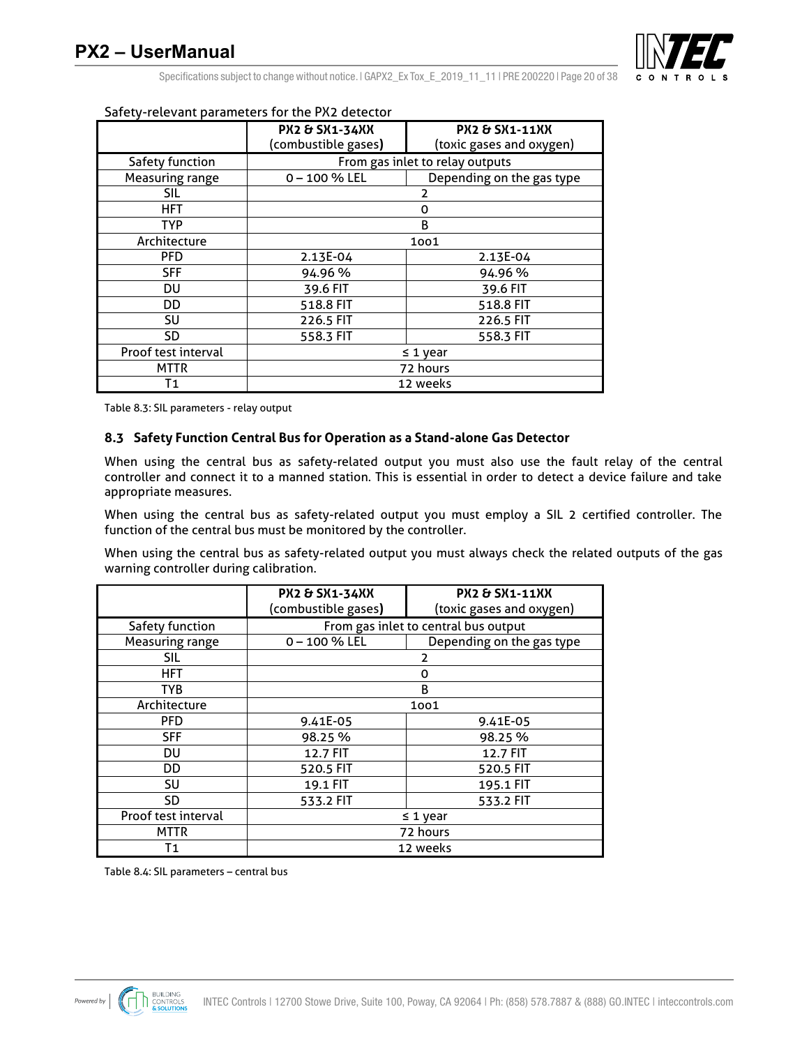

Specifications subject to change without notice.  $|$  GAPX2 Ex Tox E 2019 11 11 | PRE 200220 | Page 20 of 38

|                     | Sarety-retevant parameters for the r AZ detector |                           |  |  |  |  |  |
|---------------------|--------------------------------------------------|---------------------------|--|--|--|--|--|
|                     | <b>PX2 &amp; SX1-34XX</b>                        | <b>PX2 &amp; SX1-11XX</b> |  |  |  |  |  |
|                     | (combustible gases)                              | (toxic gases and oxygen)  |  |  |  |  |  |
| Safety function     | From gas inlet to relay outputs                  |                           |  |  |  |  |  |
| Measuring range     | $0 - 100 \%$ LEL                                 | Depending on the gas type |  |  |  |  |  |
| <b>SIL</b>          |                                                  | 2                         |  |  |  |  |  |
| <b>HFT</b>          |                                                  | 0                         |  |  |  |  |  |
| <b>TYP</b>          |                                                  | B                         |  |  |  |  |  |
| Architecture        | 1001                                             |                           |  |  |  |  |  |
| PFD                 | 2.13E-04                                         | 2.13E-04                  |  |  |  |  |  |
| <b>SFF</b>          | 94.96%                                           | 94.96%                    |  |  |  |  |  |
| DU                  | 39.6 FIT                                         | 39.6 FIT                  |  |  |  |  |  |
| DD                  | 518.8 FIT                                        | 518.8 FIT                 |  |  |  |  |  |
| SU                  | 226.5 FIT                                        | 226.5 FIT                 |  |  |  |  |  |
| <b>SD</b>           | 558.3 FIT<br>558.3 FIT                           |                           |  |  |  |  |  |
| Proof test interval | $\leq$ 1 year                                    |                           |  |  |  |  |  |
| MTTR                |                                                  | 72 hours                  |  |  |  |  |  |
| Τ1                  |                                                  | 12 weeks                  |  |  |  |  |  |

#### Safety-relevant parameters for the PX2 detector

Table 8.3: SIL parameters - relay output

#### **8.3 Safety Function Central Bus for Operation as a Stand-alone Gas Detector**

When using the central bus as safety-related output you must also use the fault relay of the central controller and connect it to a manned station. This is essential in order to detect a device failure and take appropriate measures.

When using the central bus as safety-related output you must employ a SIL 2 certified controller. The function of the central bus must be monitored by the controller.

When using the central bus as safety-related output you must always check the related outputs of the gas warning controller during calibration.

|                     | <b>PX2 &amp; SX1-34XX</b>            | <b>PX2 &amp; SX1-11XX</b> |  |  |  |  |  |
|---------------------|--------------------------------------|---------------------------|--|--|--|--|--|
|                     | (combustible gases)                  | (toxic gases and oxygen)  |  |  |  |  |  |
| Safety function     | From gas inlet to central bus output |                           |  |  |  |  |  |
| Measuring range     | $0 - 100 \%$ LEL                     | Depending on the gas type |  |  |  |  |  |
| <b>SIL</b>          |                                      | 2                         |  |  |  |  |  |
| <b>HFT</b>          |                                      | 0                         |  |  |  |  |  |
| <b>TYB</b>          |                                      | B                         |  |  |  |  |  |
| Architecture        | 1001                                 |                           |  |  |  |  |  |
| <b>PFD</b>          | 9.41E-05                             | 9.41E-05                  |  |  |  |  |  |
| <b>SFF</b>          | 98.25 %                              | 98.25 %                   |  |  |  |  |  |
| DU                  | 12.7 FIT                             | 12.7 FIT                  |  |  |  |  |  |
| DD                  | 520.5 FIT                            | 520.5 FIT                 |  |  |  |  |  |
| SU                  | 19.1 FIT                             | 195.1 FIT                 |  |  |  |  |  |
| <b>SD</b>           | 533.2 FIT<br>533.2 FIT               |                           |  |  |  |  |  |
| Proof test interval |                                      | $\leq$ 1 year             |  |  |  |  |  |
| <b>MTTR</b>         | 72 hours                             |                           |  |  |  |  |  |
| Τ1                  |                                      | 12 weeks                  |  |  |  |  |  |

Table 8.4: SIL parameters – central bus

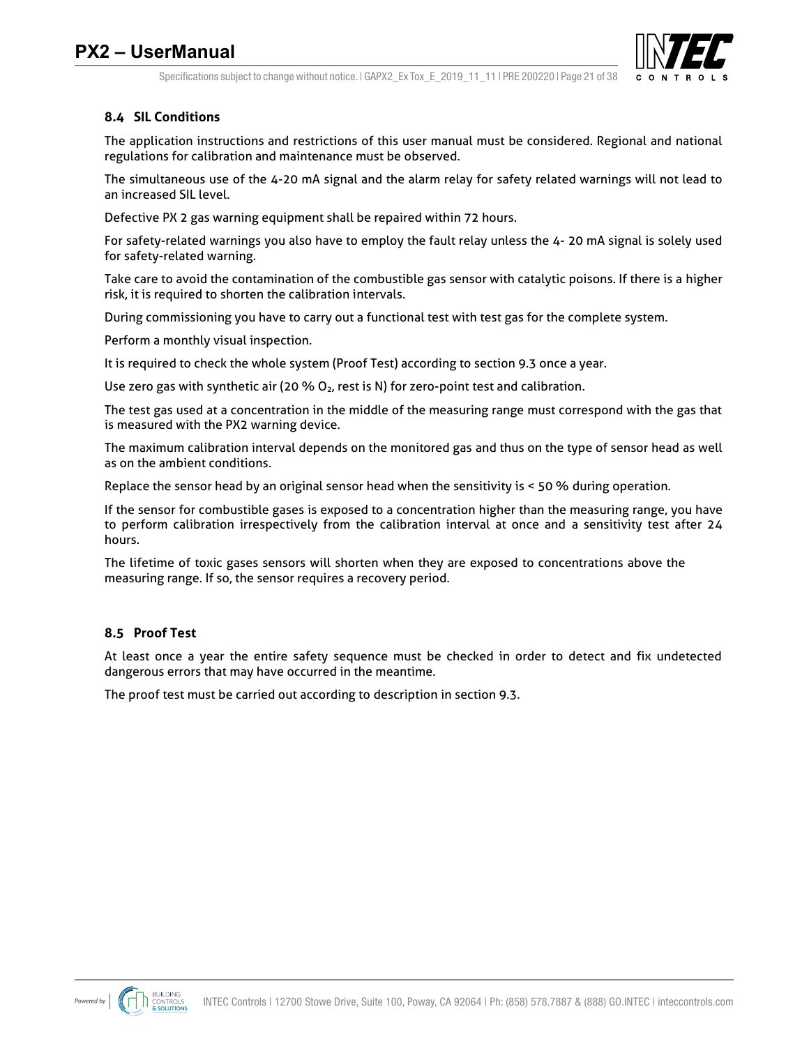

Specifications subject to change without notice. I GAPX2 Ex Tox E 2019 11 11 I PRE 200220 I Page 21 of 38

### **8.4 SIL Conditions**

The application instructions and restrictions of this user manual must be considered. Regional and national regulations for calibration and maintenance must be observed.

The simultaneous use of the 4-20 mA signal and the alarm relay for safety related warnings will not lead to an increased SIL level.

Defective PX 2 gas warning equipment shall be repaired within 72 hours.

For safety-related warnings you also have to employ the fault relay unless the 4- 20 mA signal is solely used for safety-related warning.

Take care to avoid the contamination of the combustible gas sensor with catalytic poisons. If there is a higher risk, it is required to shorten the calibration intervals.

During commissioning you have to carry out a functional test with test gas for the complete system.

Perform a monthly visual inspection.

It is required to check the whole system (Proof Test) according to section 9.3 once a year.

Use zero gas with synthetic air (20 %  $O<sub>2</sub>$ , rest is N) for zero-point test and calibration.

The test gas used at a concentration in the middle of the measuring range must correspond with the gas that is measured with the PX2 warning device.

The maximum calibration interval depends on the monitored gas and thus on the type of sensor head as well as on the ambient conditions.

Replace the sensor head by an original sensor head when the sensitivity is < 50 % during operation.

If the sensor for combustible gases is exposed to a concentration higher than the measuring range, you have to perform calibration irrespectively from the calibration interval at once and a sensitivity test after 24 hours.

The lifetime of toxic gases sensors will shorten when they are exposed to concentrations above the measuring range. If so, the sensor requires a recovery period.

### **8.5 Proof Test**

At least once a year the entire safety sequence must be checked in order to detect and fix undetected dangerous errors that may have occurred in the meantime.

The proof test must be carried out according to description in section 9.3.

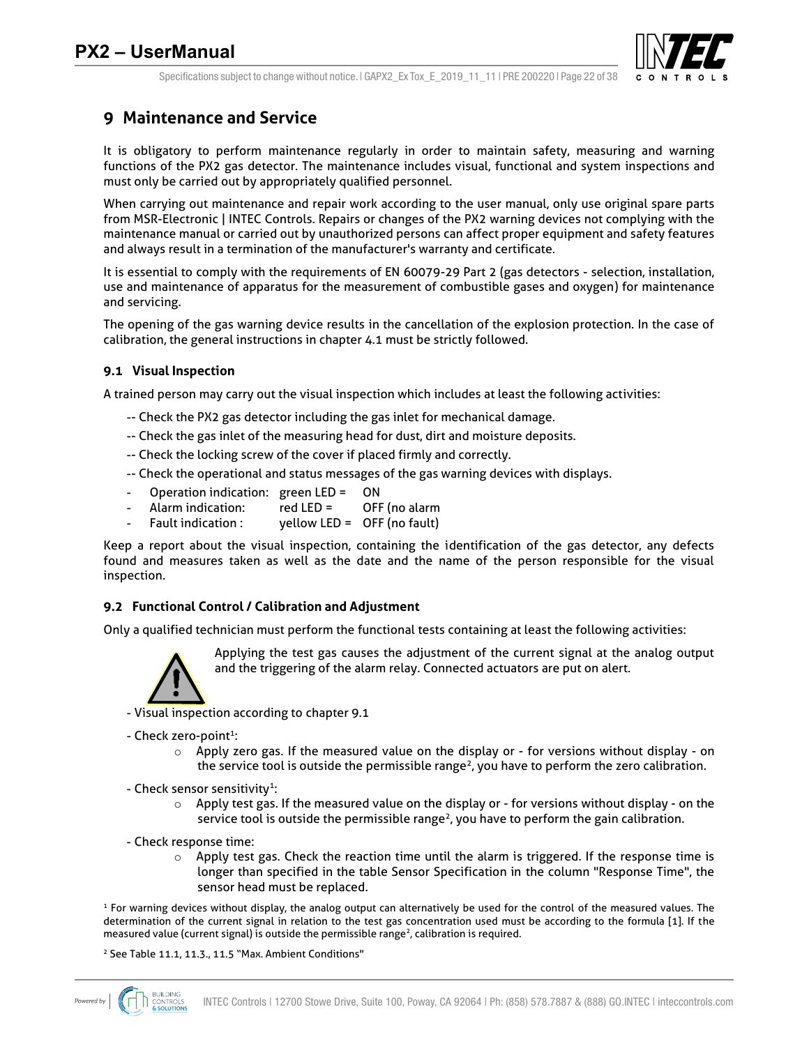

## **9 Maintenance and Service**

It is obligatory to perform maintenance regularly in order to maintain safety, measuring and warning functions of the PX2 gas detector. The maintenance includes visual, functional and system inspections and must only be carried out by appropriately qualified personnel.

When carrying out maintenance and repair work according to the user manual, only use original spare parts from MSR-Electronic | INTEC Controls. Repairs or changes of the PX2 warning devices not complying with the maintenance manual or carried out by unauthorized persons can affect proper equipment and safety features and always result in a termination of the manufacturer's warranty and certificate.

It is essential to comply with the requirements of EN 60079-29 Part 2 (gas detectors - selection, installation, use and maintenance of apparatus for the measurement of combustible gases and oxygen) for maintenance and servicing.

The opening of the gas warning device results in the cancellation of the explosion protection. In the case of calibration, the general instructions in chapter 4.1 must be strictly followed.

#### **9.1 Visual Inspection**

A trained person may carry out the visual inspection which includes at least the following activities:

- -- Check the PX2 gas detector including the gas inlet for mechanical damage.
- -- Check the gas inlet of the measuring head for dust, dirt and moisture deposits.
- -- Check the locking screw of the cover if placed firmly and correctly.
- -- Check the operational and status messages of the gas warning devices with displays.
- Operation indication: green LED = ON
- Alarm indication: red LED = OFF (no alarm
- Fault indication : yellow LED = OFF (no fault)

Keep a report about the visual inspection, containing the identification of the gas detector, any defects found and measures taken as well as the date and the name of the person responsible for the visual inspection.

#### **9.2 Functional Control / Calibration and Adjustment**

Only a qualified technician must perform the functional tests containing at least the following activities:



Applying the test gas causes the adjustment of the current signal at the analog output and the triggering of the alarm relay. Connected actuators are put on alert.

- Visual inspection according to chapter 9.1

- Check zero-point<sup>1</sup>:
	- $\circ$  Apply zero gas. If the measured value on the display or for versions without display on the service tool is outside the permissible range<sup>2</sup>, you have to perform the zero calibration.
- Check sensor sensitivity<sup>1</sup>:
	- $\circ$  Apply test gas. If the measured value on the display or for versions without display on the service tool is outside the permissible range<sup>2</sup>, you have to perform the gain calibration.
- Check response time:
	- $\circ$  Apply test gas. Check the reaction time until the alarm is triggered. If the response time is longer than specified in the table Sensor Specification in the column "Response Time", the sensor head must be replaced.

<sup>1</sup> For warning devices without display, the analog output can alternatively be used for the control of the measured values. The determination of the current signal in relation to the test gas concentration used must be according to the formula [1]. If the measured value (current signal) is outside the permissible range<sup>2</sup>, calibration is required.

<sup>2</sup> See Table 11.1, 11.3., 11.5 "Max. Ambient Conditions"

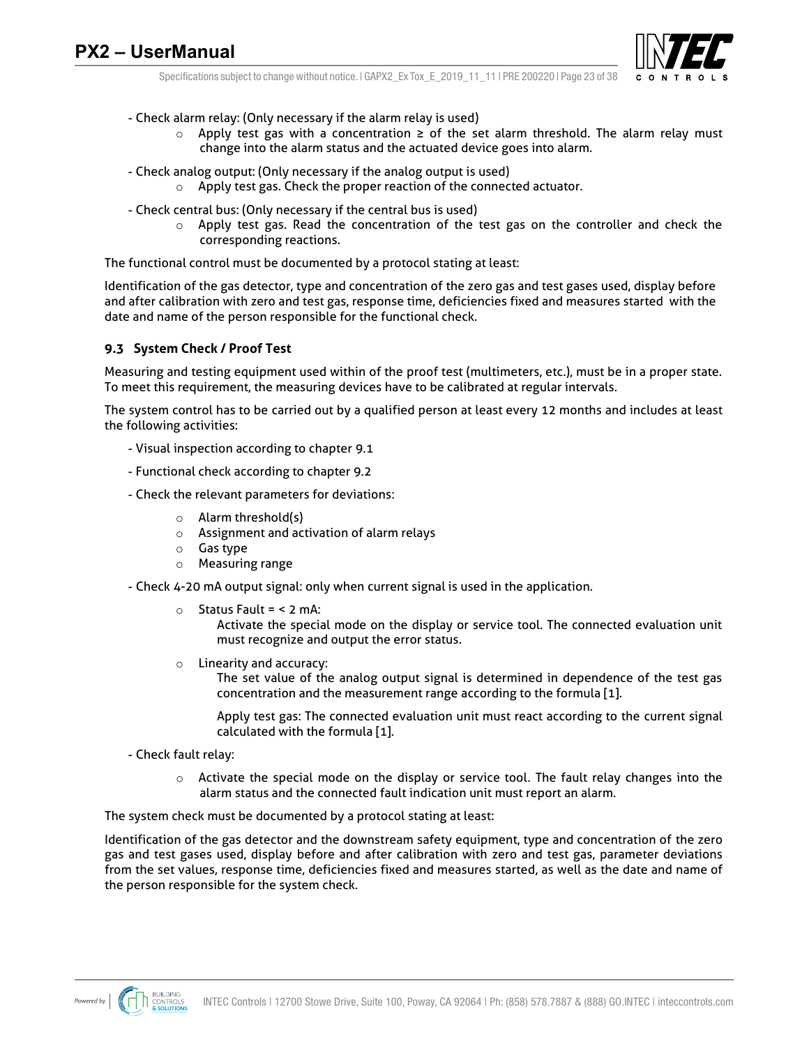

Specifications subject to change without notice. I GAPX2 Ex Tox E 2019 11 11 I PRE 200220 I Page 23 of 38

- Check alarm relay: (Only necessary if the alarm relay is used)
	- o Apply test gas with a concentration ≥ of the set alarm threshold. The alarm relay must change into the alarm status and the actuated device goes into alarm.
- Check analog output: (Only necessary if the analog output is used)
	- o Apply test gas. Check the proper reaction of the connected actuator.
- Check central bus: (Only necessary if the central bus is used)
	- o Apply test gas. Read the concentration of the test gas on the controller and check the corresponding reactions.

The functional control must be documented by a protocol stating at least:

Identification of the gas detector, type and concentration of the zero gas and test gases used, display before and after calibration with zero and test gas, response time, deficiencies fixed and measures started with the date and name of the person responsible for the functional check.

#### **9.3 System Check / Proof Test**

Measuring and testing equipment used within of the proof test (multimeters, etc.), must be in a proper state. To meet this requirement, the measuring devices have to be calibrated at regular intervals.

The system control has to be carried out by a qualified person at least every 12 months and includes at least the following activities:

- Visual inspection according to chapter 9.1
- Functional check according to chapter 9.2
- Check the relevant parameters for deviations:
	- o Alarm threshold(s)
	- o Assignment and activation of alarm relays
	- o Gas type
	- o Measuring range
- Check 4-20 mA output signal: only when current signal is used in the application.
	- $\circ$  Status Fault = < 2 mA:
		- Activate the special mode on the display or service tool. The connected evaluation unit must recognize and output the error status.
	- o Linearity and accuracy:

The set value of the analog output signal is determined in dependence of the test gas concentration and the measurement range according to the formula [1].

Apply test gas: The connected evaluation unit must react according to the current signal calculated with the formula [1].

- Check fault relay:
	- o Activate the special mode on the display or service tool. The fault relay changes into the alarm status and the connected fault indication unit must report an alarm.

The system check must be documented by a protocol stating at least:

Identification of the gas detector and the downstream safety equipment, type and concentration of the zero gas and test gases used, display before and after calibration with zero and test gas, parameter deviations from the set values, response time, deficiencies fixed and measures started, as well as the date and name of the person responsible for the system check.

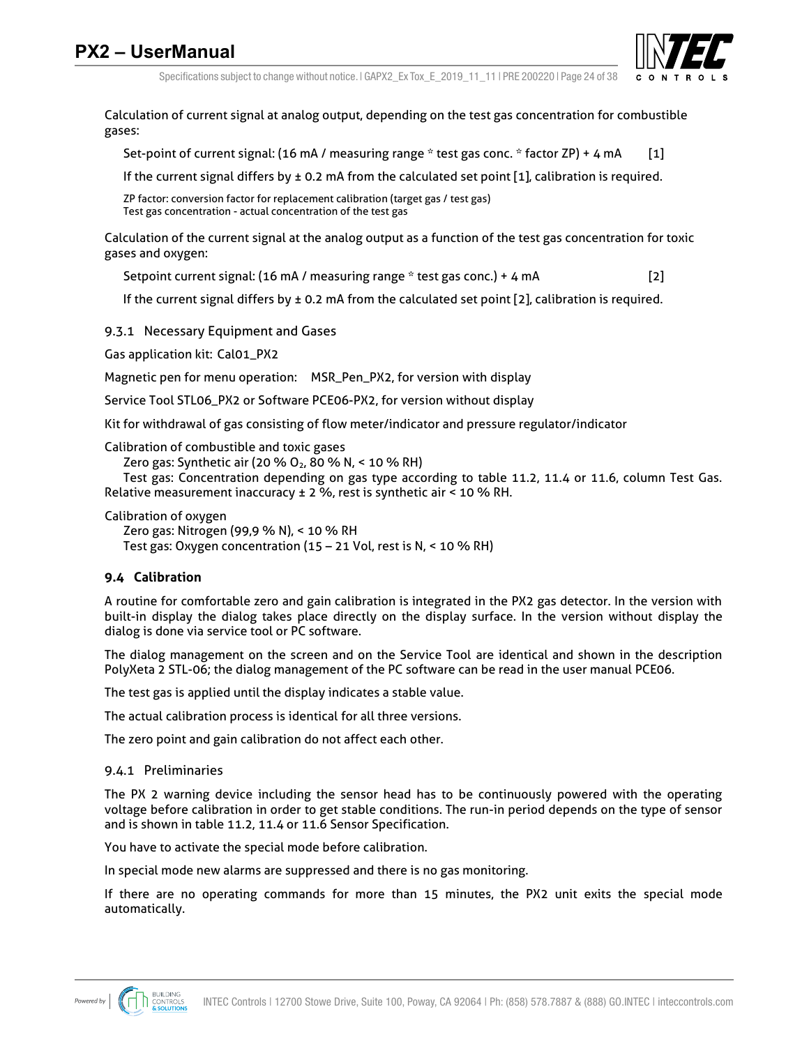

Specifications subject to change without notice. I GAPX2 Ex Tox E 2019 11 11 I PRE 200220 I Page 24 of 38

Calculation of current signal at analog output, depending on the test gas concentration for combustible gases:

Set-point of current signal: (16 mA / measuring range \* test gas conc. \* factor ZP) + 4 mA [1]

If the current signal differs by ± 0.2 mA from the calculated set point [1], calibration is required.

ZP factor: conversion factor for replacement calibration (target gas / test gas) Test gas concentration - actual concentration of the test gas

Calculation of the current signal at the analog output as a function of the test gas concentration for toxic gases and oxygen:

Setpoint current signal: (16 mA / measuring range \* test gas conc.) + 4 mA [2]

If the current signal differs by  $\pm$  0.2 mA from the calculated set point [2], calibration is required.

9.3.1 Necessary Equipment and Gases

Gas application kit: Cal01\_PX2

Magnetic pen for menu operation: MSR\_Pen\_PX2, for version with display

Service Tool STL06\_PX2 or Software PCE06-PX2, for version without display

Kit for withdrawal of gas consisting of flow meter/indicator and pressure regulator/indicator

Calibration of combustible and toxic gases

Zero gas: Synthetic air (20 % O<sub>2</sub>, 80 % N, < 10 % RH)

Test gas: Concentration depending on gas type according to table 11.2, 11.4 or 11.6, column Test Gas. Relative measurement inaccuracy ± 2 %, rest is synthetic air < 10 % RH.

Calibration of oxygen

Zero gas: Nitrogen (99,9 % N), < 10 % RH

Test gas: Oxygen concentration (15 – 21 Vol, rest is N, < 10 % RH)

### **9.4 Calibration**

A routine for comfortable zero and gain calibration is integrated in the PX2 gas detector. In the version with built-in display the dialog takes place directly on the display surface. In the version without display the dialog is done via service tool or PC software.

The dialog management on the screen and on the Service Tool are identical and shown in the description PolyXeta 2 STL-06; the dialog management of the PC software can be read in the user manual PCE06.

The test gas is applied until the display indicates a stable value.

The actual calibration process is identical for all three versions.

The zero point and gain calibration do not affect each other.

#### 9.4.1 Preliminaries

The PX 2 warning device including the sensor head has to be continuously powered with the operating voltage before calibration in order to get stable conditions. The run-in period depends on the type of sensor and is shown in table 11.2, 11.4 or 11.6 Sensor Specification.

You have to activate the special mode before calibration.

In special mode new alarms are suppressed and there is no gas monitoring.

If there are no operating commands for more than 15 minutes, the PX2 unit exits the special mode automatically.

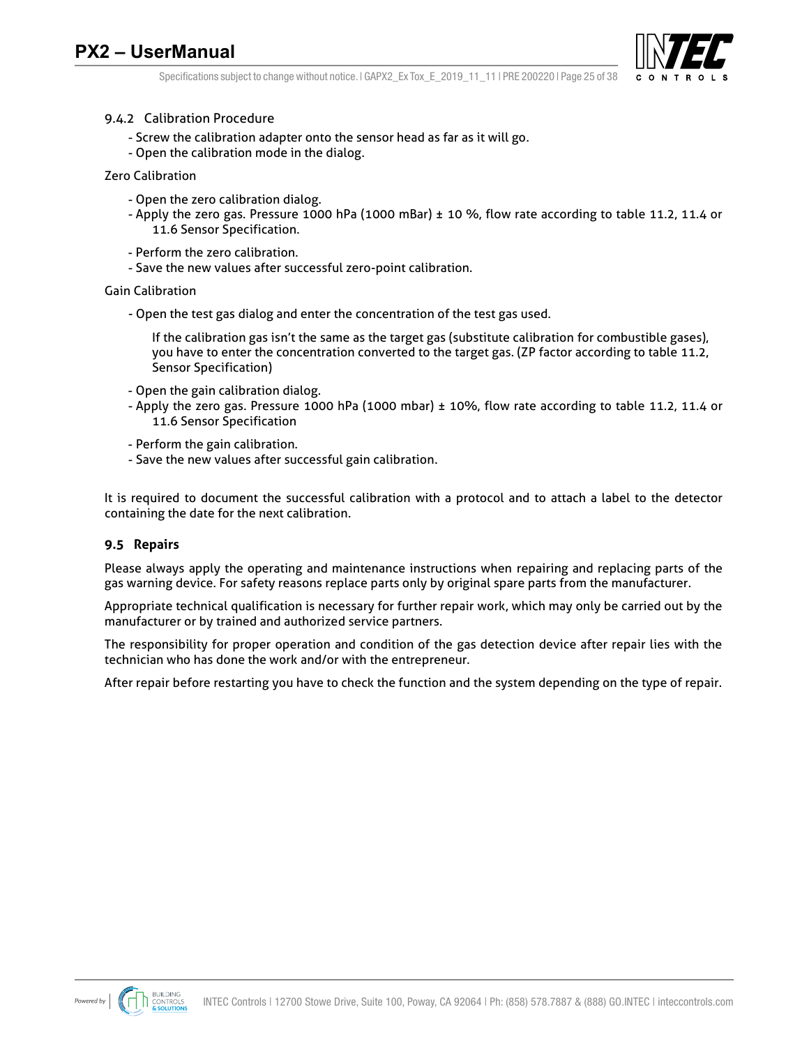

Specifications subject to change without notice.  $|$  GAPX2 Ex Tox E 2019 11 11 | PRE 200220 | Page 25 of 38

#### 9.4.2 Calibration Procedure

- Screw the calibration adapter onto the sensor head as far as it will go.
- Open the calibration mode in the dialog.

Zero Calibration

- Open the zero calibration dialog.
- Apply the zero gas. Pressure 1000 hPa (1000 mBar) ± 10 %, flow rate according to table 11.2, 11.4 or 11.6 Sensor Specification.
- Perform the zero calibration.
- Save the new values after successful zero-point calibration.

#### Gain Calibration

- Open the test gas dialog and enter the concentration of the test gas used.

If the calibration gas isn't the same as the target gas (substitute calibration for combustible gases), you have to enter the concentration converted to the target gas. (ZP factor according to table 11.2, Sensor Specification)

- Open the gain calibration dialog.
- Apply the zero gas. Pressure 1000 hPa (1000 mbar) ± 10%, flow rate according to table 11.2, 11.4 or 11.6 Sensor Specification
- Perform the gain calibration.
- Save the new values after successful gain calibration.

It is required to document the successful calibration with a protocol and to attach a label to the detector containing the date for the next calibration.

#### **9.5 Repairs**

Please always apply the operating and maintenance instructions when repairing and replacing parts of the gas warning device. For safety reasons replace parts only by original spare parts from the manufacturer.

Appropriate technical qualification is necessary for further repair work, which may only be carried out by the manufacturer or by trained and authorized service partners.

The responsibility for proper operation and condition of the gas detection device after repair lies with the technician who has done the work and/or with the entrepreneur.

After repair before restarting you have to check the function and the system depending on the type of repair.

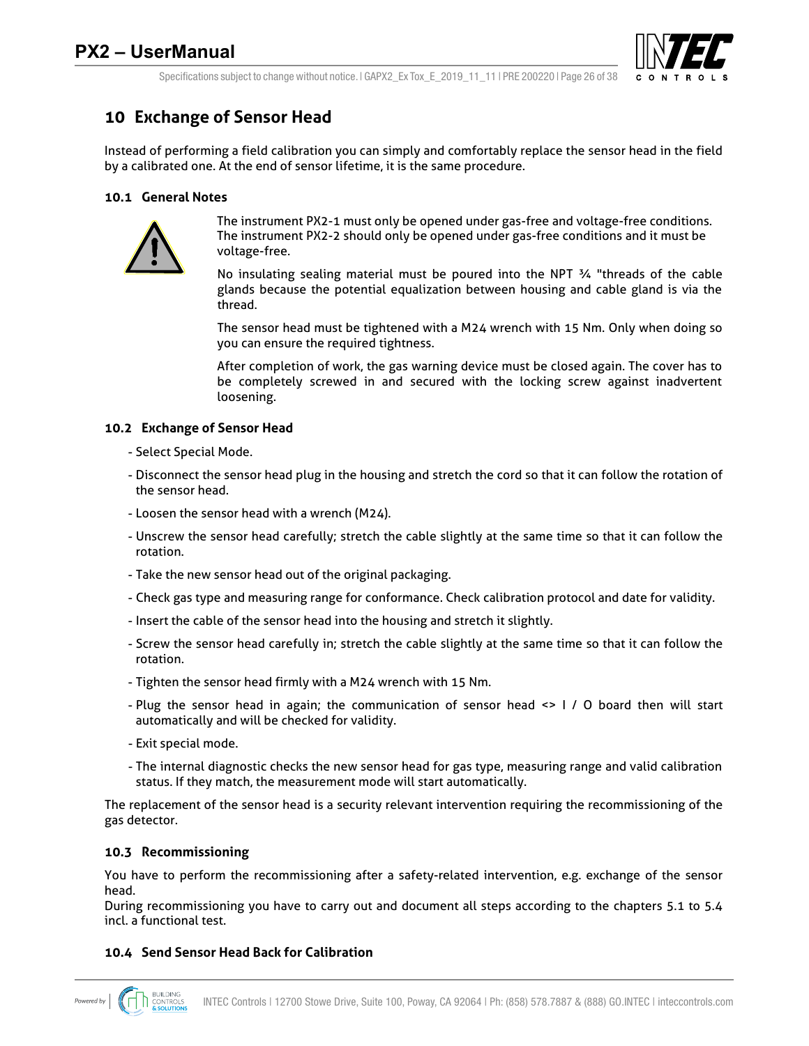

Specifications subject to change without notice.  $|$  GAPX2 Ex Tox E 2019 11 11 | PRE 200220 | Page 26 of 38

## **10 Exchange of Sensor Head**

Instead of performing a field calibration you can simply and comfortably replace the sensor head in the field by a calibrated one. At the end of sensor lifetime, it is the same procedure.

### **10.1 General Notes**



The instrument PX2-1 must only be opened under gas-free and voltage-free conditions. The instrument PX2-2 should only be opened under gas-free conditions and it must be voltage-free.

No insulating sealing material must be poured into the NPT  $\frac{3}{4}$  "threads of the cable glands because the potential equalization between housing and cable gland is via the thread.

The sensor head must be tightened with a M24 wrench with 15 Nm. Only when doing so you can ensure the required tightness.

After completion of work, the gas warning device must be closed again. The cover has to be completely screwed in and secured with the locking screw against inadvertent loosening.

### **10.2 Exchange of Sensor Head**

- Select Special Mode.
- Disconnect the sensor head plug in the housing and stretch the cord so that it can follow the rotation of the sensor head.
- Loosen the sensor head with a wrench (M24).
- Unscrew the sensor head carefully; stretch the cable slightly at the same time so that it can follow the rotation.
- Take the new sensor head out of the original packaging.
- Check gas type and measuring range for conformance. Check calibration protocol and date for validity.
- Insert the cable of the sensor head into the housing and stretch it slightly.
- Screw the sensor head carefully in; stretch the cable slightly at the same time so that it can follow the rotation.
- Tighten the sensor head firmly with a M24 wrench with 15 Nm.
- Plug the sensor head in again; the communication of sensor head <> I / O board then will start automatically and will be checked for validity.
- Exit special mode.
- The internal diagnostic checks the new sensor head for gas type, measuring range and valid calibration status. If they match, the measurement mode will start automatically.

The replacement of the sensor head is a security relevant intervention requiring the recommissioning of the gas detector.

#### **10.3 Recommissioning**

You have to perform the recommissioning after a safety-related intervention, e.g. exchange of the sensor head.

During recommissioning you have to carry out and document all steps according to the chapters 5.1 to 5.4 incl. a functional test.

#### **10.4 Send Sensor Head Back for Calibration**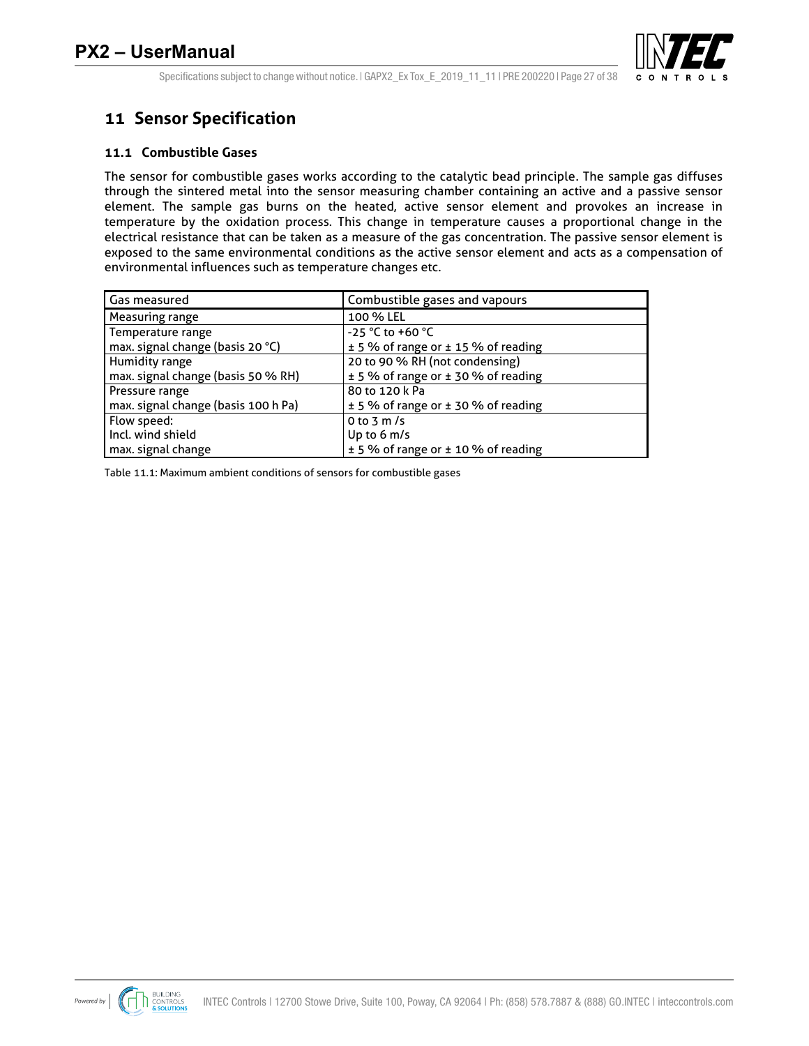

Specifications subject to change without notice.  $|$  GAPX2 Ex Tox E 2019 11 11 | PRE 200220 | Page 27 of 38

## **11 Sensor Specification**

### **11.1 Combustible Gases**

The sensor for combustible gases works according to the catalytic bead principle. The sample gas diffuses through the sintered metal into the sensor measuring chamber containing an active and a passive sensor element. The sample gas burns on the heated, active sensor element and provokes an increase in temperature by the oxidation process. This change in temperature causes a proportional change in the electrical resistance that can be taken as a measure of the gas concentration. The passive sensor element is exposed to the same environmental conditions as the active sensor element and acts as a compensation of environmental influences such as temperature changes etc.

| <b>Gas measured</b>                 | Combustible gases and vapours       |
|-------------------------------------|-------------------------------------|
| Measuring range                     | 100 % LEL                           |
| Temperature range                   | -25 °C to +60 °C                    |
| max. signal change (basis 20 °C)    | ± 5 % of range or ± 15 % of reading |
| <b>Humidity range</b>               | 20 to 90 % RH (not condensing)      |
| max. signal change (basis 50 % RH)  | ± 5 % of range or ± 30 % of reading |
| Pressure range                      | 80 to 120 k Pa                      |
| max. signal change (basis 100 h Pa) | ± 5 % of range or ± 30 % of reading |
| Flow speed:                         | 0 to 3 m/s                          |
| Incl. wind shield                   | Up to $6 \text{ m/s}$               |
| max. signal change                  | ± 5 % of range or ± 10 % of reading |

Table 11.1: Maximum ambient conditions of sensors for combustible gases

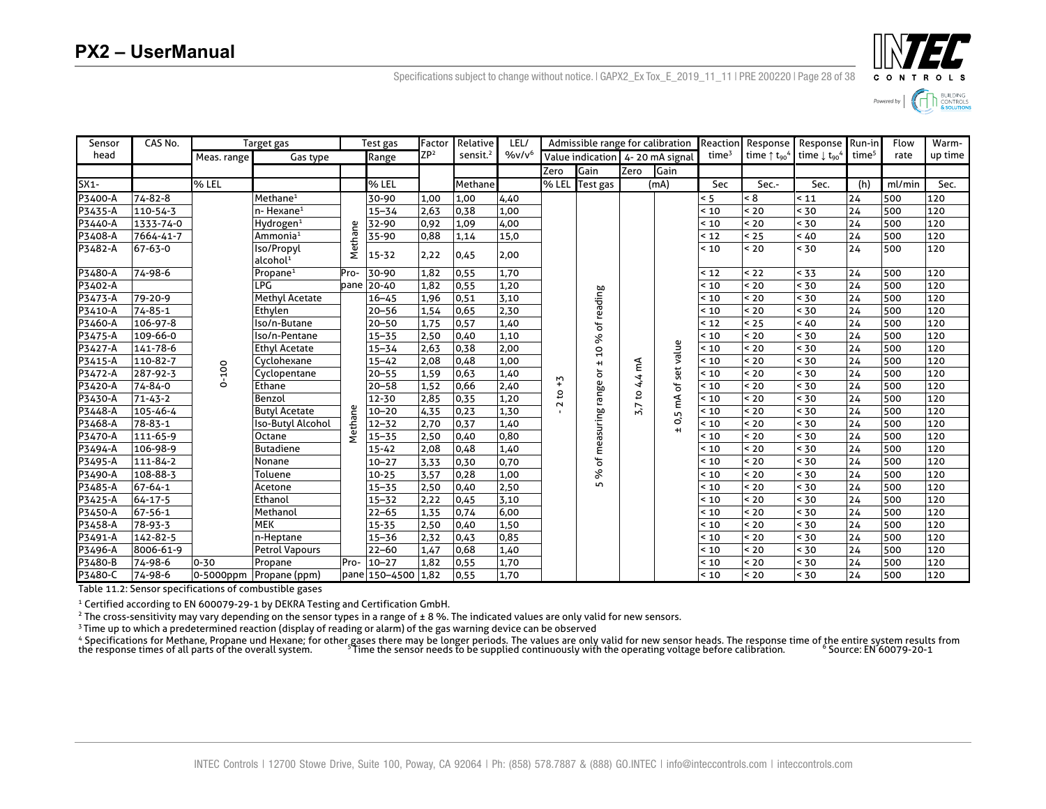

Specifications subject to change without notice. | GAPX2\_Ex Tox\_E\_2019\_11\_11 | PRE 200220 | Page 28 of 38

| Sensor    | CAS No.       |             | Target gas                         | Test gas |                    | Factor          | Relative             | LEL/     |               | Admissible range for calibration |        |                        | Reaction          | Response                                     | Response Run-in                                |                   | Flow   | Warm-   |
|-----------|---------------|-------------|------------------------------------|----------|--------------------|-----------------|----------------------|----------|---------------|----------------------------------|--------|------------------------|-------------------|----------------------------------------------|------------------------------------------------|-------------------|--------|---------|
| head      |               | Meas. range | Gas type                           |          | Range              | ZP <sup>2</sup> | sensit. <sup>2</sup> | $%v/v^6$ |               | Value indication 4-20 mA signal  |        |                        | time <sup>3</sup> | time $\uparrow$ t <sub>90</sub> <sup>4</sup> | time $\downarrow$ t <sub>90</sub> <sup>4</sup> | time <sup>5</sup> | rate   | up time |
|           |               |             |                                    |          |                    |                 |                      |          | Zero          | Gain                             | Zero   | Gain                   |                   |                                              |                                                |                   |        |         |
| $SX1-$    |               | % LEL       |                                    |          | % LEL              |                 | Methane              |          | % LEL         | Test gas                         |        | (mA)                   | Sec               | Sec.-                                        | Sec.                                           | (h)               | ml/min | Sec.    |
| P3400-A   | 74-82-8       |             | Methane <sup>1</sup>               |          | 30-90              | 1,00            | 1.00                 | 4,40     |               |                                  |        |                        | < 5               | < 8                                          | < 11                                           | 24                | 500    | 120     |
| P3435-A   | 110-54-3      |             | $n$ - Hexane <sup>1</sup>          |          | $15 - 34$          | 2,63            | 0,38                 | 1.00     |               |                                  |        |                        | < 10              | $20$                                         | < 30                                           | 24                | 500    | 120     |
| P3440-A   | 1333-74-0     |             | Hydrogen <sup>1</sup>              |          | 32-90              | 0,92            | 1,09                 | 4,00     |               |                                  |        |                        | < 10              | < 20                                         | < 30                                           | 24                | 500    | 120     |
| P3408-A   | 7664-41-7     |             | Ammonia <sup>1</sup>               |          | 35-90              | 0,88            | 1,14                 | 15,0     |               |                                  |        |                        | 12                | < 25                                         | 40                                             | 24                | 500    | 120     |
| P3482-A   | 67-63-0       |             | Iso/Propyl<br>alcohol <sup>1</sup> | Methane  | $15 - 32$          | 2,22            | 0,45                 | 2,00     |               |                                  |        |                        | ~10               | ~10                                          | < 30                                           | 24                | 500    | 120     |
| P3480-A   | 74-98-6       |             | Propane $1$                        | Pro-     | 30-90              | 1,82            | 0,55                 | 1,70     |               |                                  |        |                        | < 12              | $22$                                         | < 33                                           | 24                | 500    | 120     |
| P3402-A   |               |             | LPG                                | pane     | $20 - 40$          | 1,82            | 0,55                 | 1,20     |               |                                  |        |                        | ~10               | < 20                                         | < 30                                           | 24                | 500    | 120     |
| P3473-A   | 79-20-9       |             | Methyl Acetate                     |          | $16 - 45$          | 1,96            | 0,51                 | 3,10     |               | of reading                       |        |                        | ~10               | < 20                                         | < 30                                           | 24                | 500    | 120     |
| P3410-A   | 74-85-1       |             | Ethylen                            |          | $20 - 56$          | 1,54            | 0,65                 | 2,30     |               |                                  |        |                        | < 10              | < 20                                         | < 30                                           | 24                | 500    | 120     |
| P3460-A   | 106-97-8      |             | Iso/n-Butane                       |          | $20 - 50$          | 1,75            | 0,57                 | 1,40     |               |                                  |        |                        | < 12              | < 25                                         | < 40                                           | 24                | 500    | 120     |
| P3475-A   | 109-66-0      |             | Iso/n-Pentane                      |          | $15 - 35$          | 2,50            | 0,40                 | 1,10     |               | ৡ                                |        |                        | < 10              | < 20                                         | < 30                                           | 24                | 500    | 120     |
| P3427-A   | 141-78-6      |             | <b>Ethyl Acetate</b>               |          | $15 - 34$          | 2,63            | 0,38                 | 2,00     |               | $\overline{a}$                   |        | set value              | < 10              | < 20                                         | < 30                                           | 24                | 500    | 120     |
| P3415-A   | 110-82-7      |             | Cyclohexane                        |          | $15 - 42$          | 2,08            | 0,48                 | 1,00     |               | $\ddot{}$                        |        |                        | < 10              | < 20                                         | < 30                                           | 24                | 500    | 120     |
| P3472-A   | 287-92-3      | $0-100$     | Cyclopentane                       |          | $20 - 55$          | 1,59            | 0,63                 | 1,40     |               | ŏ                                | 4,4 mA |                        | < 10              | $20$                                         | < 30                                           | 24                | 500    | 120     |
| P3420-A   | 74-84-0       |             | Ethane                             |          | $20 - 58$          | 1,52            | 0,66                 | 2,40     | $\tilde{t}_+$ | % of measuring range             |        | ৳                      | < 10              | < 20                                         | < 30                                           | 24                | 500    | 120     |
| P3430-A   | $71 - 43 - 2$ |             | Benzol                             |          | 12-30              | 2,85            | 0,35                 | 1.20     | 5<br>$\sim$   |                                  | 5      | $\widetilde{\epsilon}$ | < 10              | < 20                                         | < 30                                           | 24                | 500    | 120     |
| $P3448-A$ | 105-46-4      |             | <b>Butyl Acetate</b>               | Methane  | $10 - 20$          | 4,35            | 0,23                 | 1,30     |               |                                  | 5.7    | 0,5                    | < 10              | < 20                                         | < 30                                           | 24                | 500    | 120     |
| P3468-A   | 78-83-1       |             | Iso-Butyl Alcohol                  |          | $12 - 32$          | 2,70            | 0,37                 | 1,40     |               |                                  |        | $+1$                   | ~10               | $20$                                         | < 30                                           | 24                | 500    | 120     |
| P3470-A   | 111-65-9      |             | Octane                             |          | $15 - 35$          | 2,50            | 0,40                 | 0,80     |               |                                  |        |                        | ~10               | < 20                                         | < 30                                           | 24                | 500    | 120     |
| P3494-A   | 106-98-9      |             | <b>Butadiene</b>                   |          | $15 - 42$          | 2,08            | 0,48                 | 1,40     |               |                                  |        |                        | < 10              | < 20                                         | < 30                                           | 24                | 500    | 120     |
| P3495-A   | 111-84-2      |             | Nonane                             |          | $10 - 27$          | 3,33            | 0,30                 | 0,70     |               |                                  |        |                        | ~10               | < 20                                         | < 30                                           | 24                | 500    | 120     |
| P3490-A   | 108-88-3      |             | Toluene                            |          | $10 - 25$          | 3,57            | 0,28                 | 1,00     |               |                                  |        |                        | ~10               | < 20                                         | < 30                                           | 24                | 500    | 120     |
| P3485-A   | 67-64-1       |             | Acetone                            |          | $15 - 35$          | 2,50            | 0,40                 | 2,50     |               | 5                                |        |                        | ~10               | < 20                                         | < 30                                           | 24                | 500    | 120     |
| P3425-A   | $64 - 17 - 5$ |             | Ethanol                            |          | $15 - 32$          | 2,22            | 0,45                 | 3,10     |               |                                  |        |                        | ~10               | < 20                                         | < 30                                           | 24                | 500    | 120     |
| P3450-A   | 67-56-1       |             | Methanol                           |          | $22 - 65$          | 1,35            | 0,74                 | 6,00     |               |                                  |        |                        | < 10              | < 20                                         | < 30                                           | 24                | 500    | 120     |
| P3458-A   | 78-93-3       |             | <b>MEK</b>                         |          | $15 - 35$          | 2,50            | 0,40                 | 1,50     |               |                                  |        |                        | < 10              | < 20                                         | < 30                                           | 24                | 500    | 120     |
| P3491-A   | 142-82-5      |             | n-Heptane                          |          | $15 - 36$          | 2,32            | 0,43                 | 0,85     |               |                                  |        |                        | < 10              | < 20                                         | < 30                                           | 24                | 500    | 120     |
| P3496-A   | 8006-61-9     |             | <b>Petrol Vapours</b>              |          | $22 - 60$          | 1,47            | 0,68                 | 1,40     |               |                                  |        |                        | < 10              | < 20                                         | < 30                                           | 24                | 500    | 120     |
| P3480-B   | 74-98-6       | $0 - 30$    | Propane                            | Pro-     | $10 - 27$          | 1,82            | 0,55                 | 1,70     |               |                                  |        |                        | < 10              | < 20                                         | < 30                                           | 24                | 500    | 120     |
| P3480-C   | 74-98-6       |             | 0-5000ppm Propane (ppm)            |          | pane 150-4500 1,82 |                 | 0.55                 | 1.70     |               |                                  |        |                        | < 10              | < 20                                         | < 30                                           | 24                | 500    | 120     |

Table 11.2: Sensor specifications of combustible gases

<sup>1</sup> Certified according to EN 600079-29-1 by DEKRA Testing and Certification GmbH.<br><sup>2</sup> The cross-sensitivity may vary depending on the sensor types in a range of ± 8%. The indicated values are only valid for new sensors.<br><sup></sup>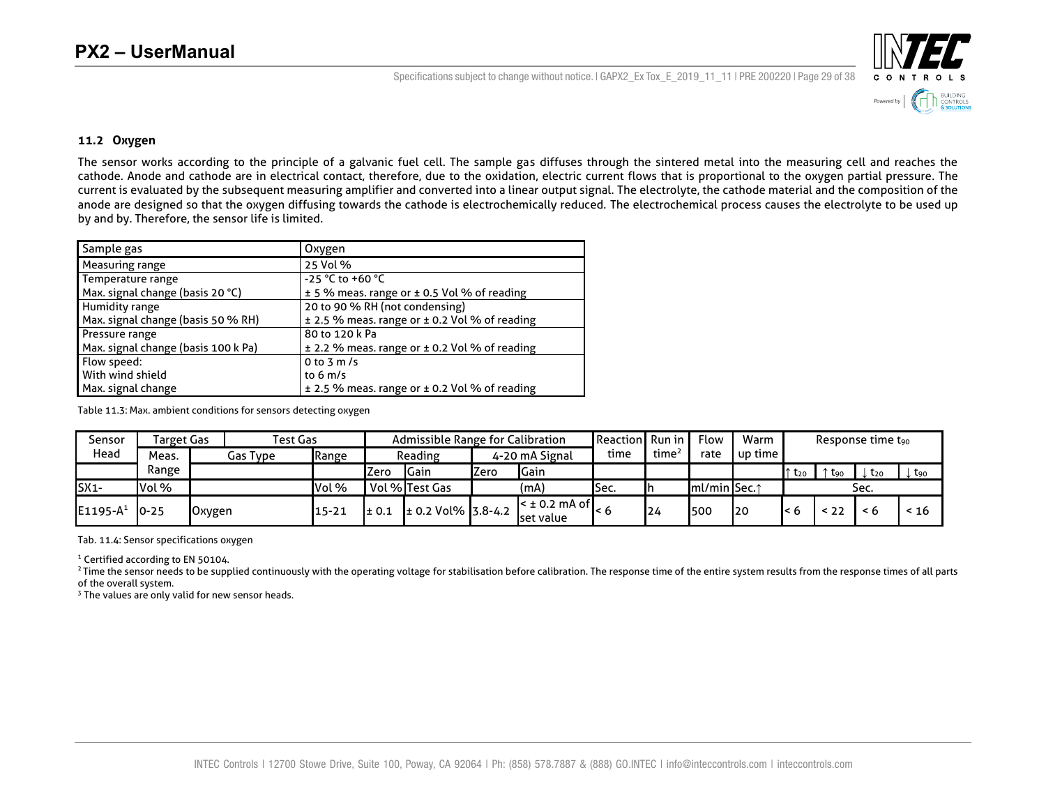Specifications subject to change without notice.  $|$  GAPX2 Ex Tox E 2019 11 11 | PRE 200220 | Page 29 of 38



#### **11.2 Oxygen**

The sensor works according to the principle of a galvanic fuel cell. The sample gas diffuses through the sintered metal into the measuring cell and reaches the cathode. Anode and cathode are in electrical contact, therefore, due to the oxidation, electric current flows that is proportional to the oxygen partial pressure. The current is evaluated by the subsequent measuring amplifier and converted into a linear output signal. The electrolyte, the cathode material and the composition of the anode are designed so that the oxygen diffusing towards the cathode is electrochemically reduced. The electrochemical process causes the electrolyte to be used up by and by. Therefore, the sensor life is limited.

| Sample gas                          | Oxygen                                        |
|-------------------------------------|-----------------------------------------------|
| Measuring range                     | 25 Vol %                                      |
| Temperature range                   | $-25 °C$ to $+60 °C$                          |
| Max. signal change (basis 20 °C)    | ± 5 % meas. range or ± 0.5 Vol % of reading   |
| Humidity range                      | 20 to 90 % RH (not condensing)                |
| Max. signal change (basis 50 % RH)  | ± 2.5 % meas. range or ± 0.2 Vol % of reading |
| Pressure range                      | 80 to 120 k Pa                                |
| Max. signal change (basis 100 k Pa) | ± 2.2 % meas. range or ± 0.2 Vol % of reading |
| Flow speed:                         | 0 to $3 \text{ m/s}$                          |
| With wind shield                    | to $6 \text{ m/s}$                            |
| Max. signal change                  | ± 2.5 % meas. range or ± 0.2 Vol % of reading |

Table 11.3: Max. ambient conditions for sensors detecting oxygen

| Sensor      |           | Test Gas<br>Admissible Range for Calibration<br>Target Gas |          |           |             |                        |                                                        |               | <b>Reaction Runin</b> |                   | Flow                      | Warm        |          |      | Response time t <sub>90</sub> |       |
|-------------|-----------|------------------------------------------------------------|----------|-----------|-------------|------------------------|--------------------------------------------------------|---------------|-----------------------|-------------------|---------------------------|-------------|----------|------|-------------------------------|-------|
| Head        | Meas.     |                                                            | Gas Type | Range     |             | Reading                | 4-20 mA Signal                                         |               |                       | time <sup>4</sup> | rate                      | l up time l |          |      |                               |       |
|             | Range     |                                                            |          |           | <b>Zero</b> | Gain                   | Zero                                                   | <b>I</b> Gain |                       |                   |                           |             | $t_{20}$ | -Lan | <b>L</b> <sub>20</sub>        | ↓ Lgo |
| $SX1-$      | Vol %     |                                                            |          | Vol %     |             | Vol %Test Gas          |                                                        | (mA)          | lSec.                 |                   | $ImU$ min Sec. $\uparrow$ |             |          |      | Sec.                          |       |
| $E1195-A^1$ | $10 - 25$ | <b>Oxygen</b>                                              |          | $15 - 21$ | $\pm 0.1$   | $\pm$ 0.2 Vol% 3.8-4.2 | $\leq$ ± 0.2 mA of $\blacksquare$<br><b>Iset value</b> |               |                       | 124               | 500                       | 120         | $\leq 6$ | - 22 | < 6                           | < 16  |

Tab. 11.4: Sensor specifications oxygen

<sup>1</sup> Certified according to EN 50104.

<sup>2</sup> Time the sensor needs to be supplied continuously with the operating voltage for stabilisation before calibration. The response time of the entire system results from the response times of all parts of the overall system.

<sup>3</sup> The values are only valid for new sensor heads.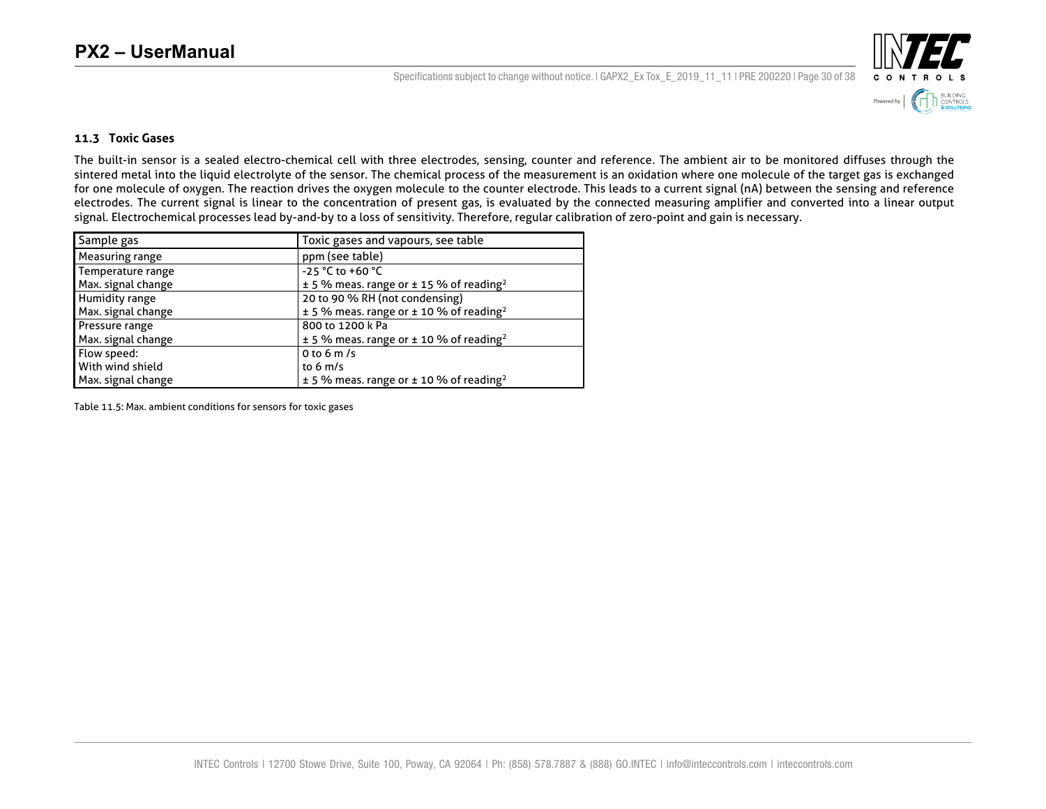Specifications subject to change without notice.  $|$  GAPX2\_Ex Tox\_E\_2019\_11\_11 | PRE 200220 | Page 30 of 38



#### **11.3 Toxic Gases**

The built-in sensor is a sealed electro-chemical cell with three electrodes, sensing, counter and reference. The ambient air to be monitored diffuses through the sintered metal into the liquid electrolyte of the sensor. The chemical process of the measurement is an oxidation where one molecule of the target gas is exchanged for one molecule of oxygen. The reaction drives the oxygen molecule to the counter electrode. This leads to a current signal (nA) between the sensing and reference electrodes. The current signal is linear to the concentration of present gas, is evaluated by the connected measuring amplifier and converted into a linear output signal. Electrochemical processes lead by-and-by to a loss of sensitivity. Therefore, regular calibration of zero-point and gain is necessary.

| Sample gas         | Toxic gases and vapours, see table                          |
|--------------------|-------------------------------------------------------------|
| Measuring range    | ppm (see table)                                             |
| Temperature range  | -25 °C to +60 °C                                            |
| Max. signal change | $\pm$ 5 % meas. range or $\pm$ 15 % of reading <sup>2</sup> |
| Humidity range     | 20 to 90 % RH (not condensing)                              |
| Max. signal change | $± 5$ % meas. range or $± 10$ % of reading <sup>2</sup>     |
| Pressure range     | 800 to 1200 k Pa                                            |
| Max. signal change | $\pm$ 5 % meas. range or $\pm$ 10 % of reading <sup>2</sup> |
| Flow speed:        | 0 to 6 m/s                                                  |
| With wind shield   | to $6 \text{ m/s}$                                          |
| Max. signal change | $\pm$ 5 % meas. range or $\pm$ 10 % of reading <sup>2</sup> |

Table 11.5: Max. ambient conditions for sensors for toxic gases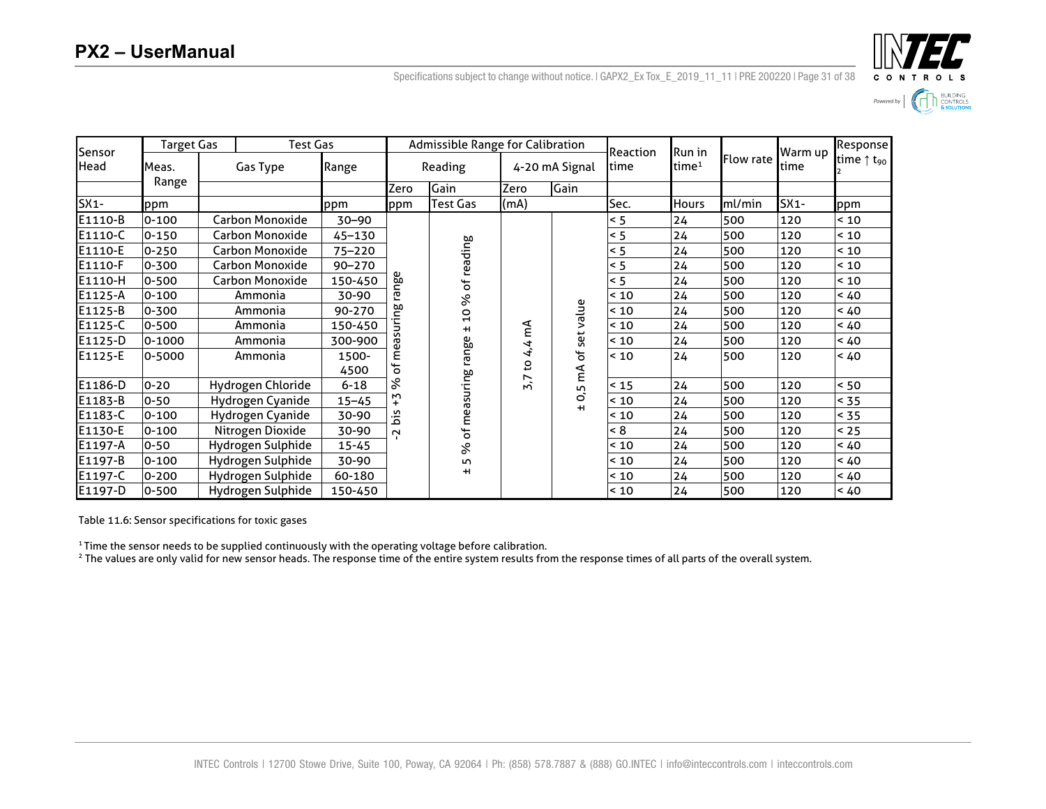INTEL Powered by  $\left|\left|\left|\left|\right|\right|\right|\right|$  SUILDING CONTROLS

| Sensor  |            | <b>Target Gas</b> |                   | Test Gas      |         | <b>Admissible Range for Calibration</b> |               |                        | Reaction | Run in            |                  | Warm up | Response                        |
|---------|------------|-------------------|-------------------|---------------|---------|-----------------------------------------|---------------|------------------------|----------|-------------------|------------------|---------|---------------------------------|
| Head    | Meas.      |                   | Gas Type          | Range         | Reading |                                         |               | 4-20 mA Signal<br>time |          | time <sup>1</sup> | <b>Flow rate</b> | ltime   | time $\uparrow$ t <sub>90</sub> |
|         | Range      |                   |                   |               | Zero    | Gain<br>Zero                            |               | Gain                   |          |                   |                  |         |                                 |
| $SX1-$  | ppm        |                   |                   | ppm           | ppm     | <b>Test Gas</b>                         | (mA)          |                        | Sec.     | <b>Hours</b>      | ml/min           | $SX1-$  | ppm                             |
| E1110-B | $0 - 100$  |                   | Carbon Monoxide   | 30-90         |         |                                         |               |                        | < 5      | 24                | 500              | 120     | < 10                            |
| E1110-C | $0 - 150$  |                   | Carbon Monoxide   | 45-130        |         |                                         |               |                        | < 5      | 24                | 500              | 120     | ~10                             |
| E1110-E | $0 - 250$  |                   | Carbon Monoxide   | 75-220        |         | of reading                              |               |                        | < 5      | 24                | 500              | 120     | ~10                             |
| E1110-F | 0-300      |                   | Carbon Monoxide   | 90-270        |         |                                         |               |                        | < 5      | 24                | 500              | 120     | < 10                            |
| E1110-H | 0-500      |                   | Carbon Monoxide   | 150-450       | nge     |                                         |               |                        | < 5      | 24                | 500              | 120     | ~10                             |
| E1125-A | $0 - 100$  |                   | Ammonia           | 30-90         | ლ       | ৡ                                       | ۴Ã<br>44<br>S |                        | < 10     | 24                | 500              | 120     | < 40                            |
| E1125-B | 0-300      |                   | Ammonia           | 90-270        | ဗ္ဌ     | $\overline{0}$<br>$\pm$                 |               | set value              | < 10     | 24                | 500              | 120     | < 40                            |
| E1125-C | 0-500      |                   | Ammonia           | 150-450       |         |                                         |               |                        | < 10     | 24                | 500              | 120     | < 40                            |
| E1125-D | $0 - 1000$ |                   | Ammonia           | 300-900       | ᠬᠣ      |                                         |               |                        | < 10     | 24                | 500              | 120     | < 40                            |
| E1125-E | 0-5000     |                   | Ammonia           | 1500-<br>4500 | Ě<br>ъf | range                                   |               | 0,5 mA of              | < 10     | 24                | 500              | 120     | < 40                            |
| E1186-D | $0 - 20$   |                   | Hydrogen Chloride | $6 - 18$      | ℅       | of measuring                            | 5,7           |                        | < 15     | 24                | 500              | 120     | < 50                            |
| E1183-B | $0 - 50$   |                   | Hydrogen Cyanide  | $15 - 45$     | М       |                                         |               | $+1$                   | < 10     | 24                | 500              | 120     | < 35                            |
| E1183-C | $0 - 100$  |                   | Hydrogen Cyanide  | 30-90         | śä      |                                         |               |                        | < 10     | 24                | 500              | 120     | < 35                            |
| E1130-E | $0 - 100$  |                   | Nitrogen Dioxide  | 30-90         | $\sim$  |                                         |               |                        | < 8      | 24                | 500              | 120     | < 25                            |
| E1197-A | $0 - 50$   |                   | Hydrogen Sulphide | $15 - 45$     |         | ४                                       |               |                        | < 10     | 24                | 500              | 120     | < 40                            |
| E1197-B | $0 - 100$  |                   | Hydrogen Sulphide | 30-90         |         | Б                                       |               |                        | < 10     | 24                | 500              | 120     | < 40                            |
| E1197-C | $0 - 200$  |                   | Hydrogen Sulphide | 60-180        |         | $+1$                                    |               |                        | < 10     | 24                | 500              | 120     | < 40                            |
| E1197-D | $0 - 500$  |                   | Hydrogen Sulphide | 150-450       |         |                                         |               |                        | < 10     | 24                | 500              | 120     | < 40                            |

Specifications subject to change without notice. | GAPX2 Ex Tox E 2019 11 11 | PRE 200220 | Page 31 of 38

Table 11.6: Sensor specifications for toxic gases

<sup>1</sup> Time the sensor needs to be supplied continuously with the operating voltage before calibration.

<sup>2</sup> The values are only valid for new sensor heads. The response time of the entire system results from the response times of all parts of the overall system.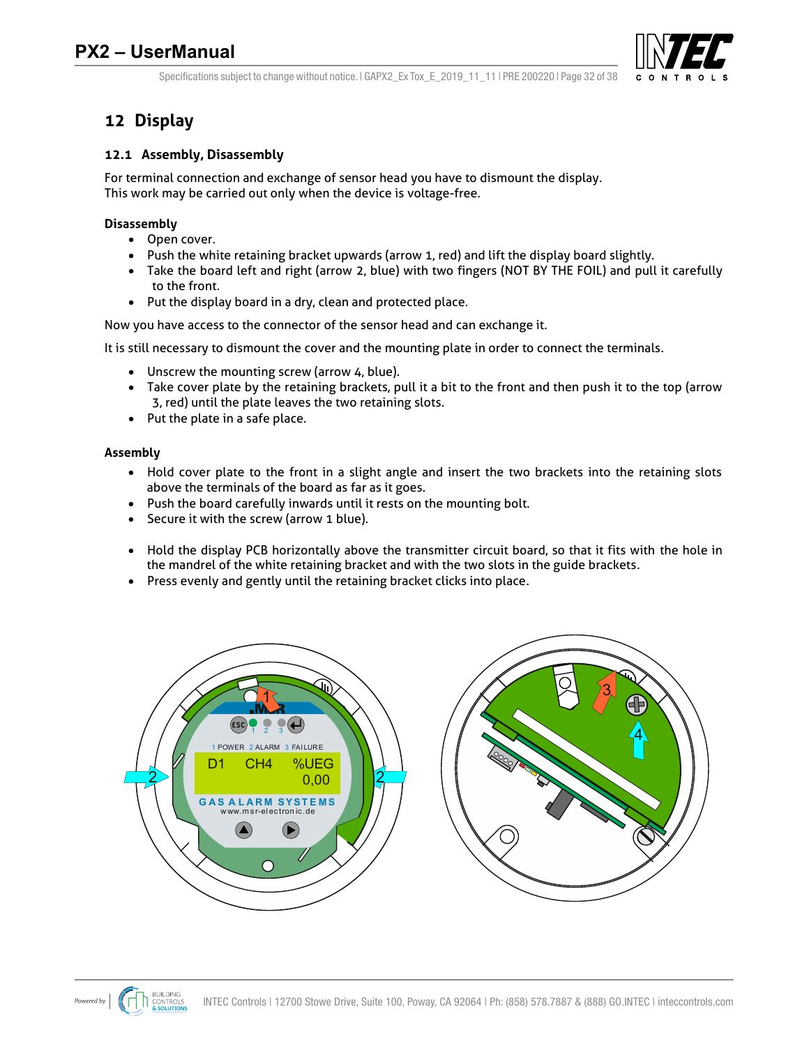

Specifications subject to change without notice.  $|$  GAPX2 Ex Tox E 2019 11 11 | PRE 200220 | Page 32 of 38

## **12 Display**

## **12.1 Assembly, Disassembly**

For terminal connection and exchange of sensor head you have to dismount the display. This work may be carried out only when the device is voltage-free.

## **Disassembly**

- Open cover.
- Push the white retaining bracket upwards (arrow 1, red) and lift the display board slightly.
- Take the board left and right (arrow 2, blue) with two fingers (NOT BY THE FOIL) and pull it carefully to the front.
- Put the display board in a dry, clean and protected place.

Now you have access to the connector of the sensor head and can exchange it.

It is still necessary to dismount the cover and the mounting plate in order to connect the terminals.

- Unscrew the mounting screw (arrow 4, blue).
- Take cover plate by the retaining brackets, pull it a bit to the front and then push it to the top (arrow 3, red) until the plate leaves the two retaining slots.
- Put the plate in a safe place.

### **Assembly**

- Hold cover plate to the front in a slight angle and insert the two brackets into the retaining slots above the terminals of the board as far as it goes.
- Push the board carefully inwards until it rests on the mounting bolt.
- Secure it with the screw (arrow 1 blue).
- Hold the display PCB horizontally above the transmitter circuit board, so that it fits with the hole in the mandrel of the white retaining bracket and with the two slots in the guide brackets.
- Press evenly and gently until the retaining bracket clicks into place.



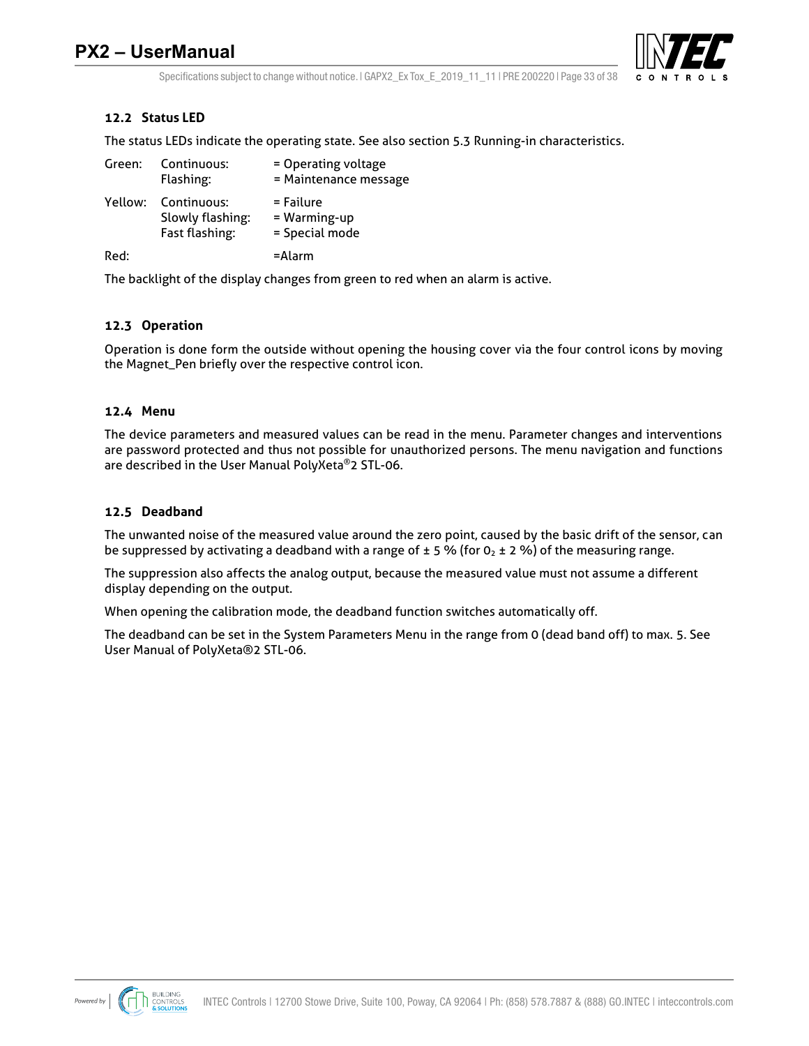

Specifications subject to change without notice.  $|$  GAPX2 Ex Tox E 2019 11 11 | PRE 200220 | Page 33 of 38

## **12.2 Status LED**

The status LEDs indicate the operating state. See also section 5.3 Running-in characteristics.

| Green:  | Continuous:<br>Flashing:                          | = Operating voltage<br>= Maintenance message |
|---------|---------------------------------------------------|----------------------------------------------|
| Yellow: | Continuous:<br>Slowly flashing:<br>Fast flashing: | = Failure<br>= Warming-up<br>= Special mode  |
| Red:    |                                                   | =Alarm                                       |

The backlight of the display changes from green to red when an alarm is active.

#### **12.3 Operation**

Operation is done form the outside without opening the housing cover via the four control icons by moving the Magnet\_Pen briefly over the respective control icon.

#### **12.4 Menu**

The device parameters and measured values can be read in the menu. Parameter changes and interventions are password protected and thus not possible for unauthorized persons. The menu navigation and functions are described in the User Manual PolyXeta®2 STL-06.

#### **12.5 Deadband**

The unwanted noise of the measured value around the zero point, caused by the basic drift of the sensor, can be suppressed by activating a deadband with a range of  $\pm$  5 % (for 0<sub>2</sub>  $\pm$  2 %) of the measuring range.

The suppression also affects the analog output, because the measured value must not assume a different display depending on the output.

When opening the calibration mode, the deadband function switches automatically off.

The deadband can be set in the System Parameters Menu in the range from 0 (dead band off) to max. 5. See User Manual of PolyXeta®2 STL-06.

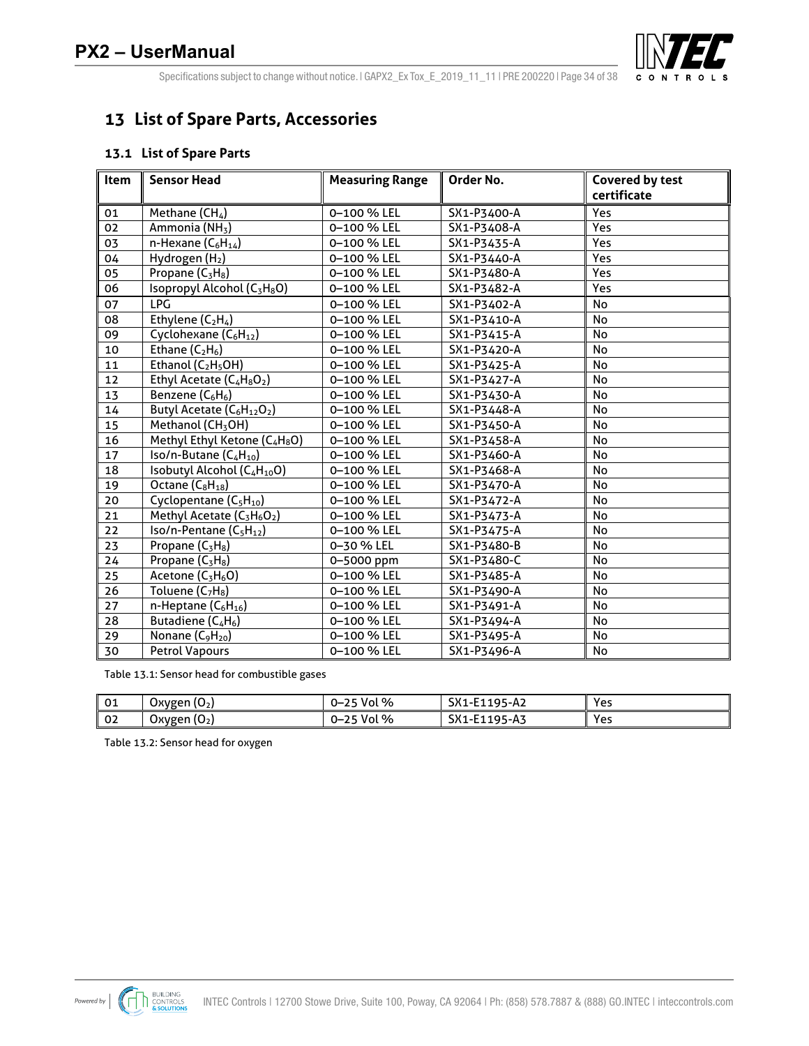

Specifications subject to change without notice. | GAPX2\_Ex Tox\_E\_2019\_11\_11 | PRE 200220 | Page 34 of 38

## **List of Spare Parts, Accessories**

#### **13.1 List of Spare Parts**

| ltem            | <b>Sensor Head</b>                                             | <b>Measuring Range</b> | Order No.   | <b>Covered by test</b> |
|-----------------|----------------------------------------------------------------|------------------------|-------------|------------------------|
|                 |                                                                |                        |             | certificate            |
| 01              | Methane $(CH_4)$                                               | 0-100 % LEL            | SX1-P3400-A | Yes                    |
| 02              | Ammonia (NH <sub>3</sub> )                                     | 0-100 % LEL            | SX1-P3408-A | Yes                    |
| 03              | n-Hexane $(C_6H_{14})$                                         | 0-100 % LEL            | SX1-P3435-A | Yes                    |
| 04              | Hydrogen (H <sub>2</sub> )                                     | 0-100 % LEL            | SX1-P3440-A | Yes                    |
| 05              | Propane (C <sub>3</sub> H <sub>8</sub> )                       | 0-100 % LEL            | SX1-P3480-A | Yes                    |
| $\overline{06}$ | Isopropyl Alcohol (C <sub>3</sub> H <sub>8</sub> O)            | 0-100 % LEL            | SX1-P3482-A | Yes                    |
| 07              | <b>LPG</b>                                                     | 0-100 % LEL            | SX1-P3402-A | No                     |
| 08              | Ethylene $(C_2H_4)$                                            | 0-100 % LEL            | SX1-P3410-A | No                     |
| 09              | Cyclohexane (C <sub>6</sub> H <sub>12</sub> )                  | 0-100 % LEL            | SX1-P3415-A | <b>No</b>              |
| 10              | Ethane $(C_2H_6)$                                              | 0-100 % LEL            | SX1-P3420-A | <b>No</b>              |
| 11              | Ethanol $(C_2H_5OH)$                                           | 0-100 % LEL            | SX1-P3425-A | No                     |
| 12              | Ethyl Acetate $(C_4H_8O_2)$                                    | 0-100 % LEL            | SX1-P3427-A | <b>No</b>              |
| 13              | Benzene $(C_6H_6)$                                             | 0-100 % LEL            | SX1-P3430-A | No                     |
| 14              | Butyl Acetate (C <sub>6</sub> H <sub>12</sub> O <sub>2</sub> ) | 0-100 % LEL            | SX1-P3448-A | <b>No</b>              |
| 15              | Methanol (CH <sub>3</sub> OH)                                  | 0-100 % LEL            | SX1-P3450-A | No                     |
| 16              | Methyl Ethyl Ketone (C4H8O)                                    | 0-100 % LEL            | SX1-P3458-A | <b>No</b>              |
| 17              | $\overline{Iso/n}$ -Butane (C <sub>4</sub> H <sub>10</sub> )   | 0-100 % LEL            | SX1-P3460-A | No                     |
| 18              | Isobutyl Alcohol (C <sub>4</sub> H <sub>10</sub> O)            | 0-100 % LEL            | SX1-P3468-A | No                     |
| 19              | Octane $(C_8H_{18})$                                           | 0-100 % LEL            | SX1-P3470-A | <b>No</b>              |
| 20              | Cyclopentane (C <sub>5</sub> H <sub>10</sub> )                 | 0-100 % LEL            | SX1-P3472-A | No                     |
| 21              | Methyl Acetate (C <sub>3</sub> H <sub>6</sub> O <sub>2</sub> ) | 0-100 % LEL            | SX1-P3473-A | No                     |
| 22              | $Iso/n-Pentane (C_5H_{12})$                                    | 0-100 % LEL            | SX1-P3475-A | No                     |
| 23              | Propane (C <sub>3</sub> H <sub>8</sub> )                       | 0-30 % LEL             | SX1-P3480-B | No                     |
| 24              | Propane (C <sub>3</sub> H <sub>8</sub> )                       | 0-5000 ppm             | SX1-P3480-C | No                     |
| 25              | Acetone (C <sub>3</sub> H <sub>6</sub> O)                      | 0-100 % LEL            | SX1-P3485-A | No                     |
| 26              | Toluene (C <sub>7</sub> H <sub>8</sub> )                       | 0-100 % LEL            | SX1-P3490-A | No                     |
| 27              | n-Heptane $(C_6H_{16})$                                        | 0-100 % LEL            | SX1-P3491-A | No                     |
| 28              | Butadiene (C <sub>4</sub> H <sub>6</sub> )                     | 0-100 % LEL            | SX1-P3494-A | No                     |
| 29              | Nonane (C <sub>9</sub> H <sub>20</sub> )                       | 0-100 % LEL            | SX1-P3495-A | No                     |
| 30              | <b>Petrol Vapours</b>                                          | 0-100 % LEL            | SX1-P3496-A | <b>No</b>              |

Table 13.1: Sensor head for combustible gases

| 01       | ໍ້<br>-<br>Oxygen<br>cυ          | Vol %<br>$\sim$ $\sim$<br>--<br>--      | $\sim$ $\sqrt{4}$<br>Q5<br>95-A2<br><b>DVT-LTTA</b> | Yes |
|----------|----------------------------------|-----------------------------------------|-----------------------------------------------------|-----|
| റാ<br>◡∠ | $\sqrt{2}$<br>-<br>Oxvgen<br>۰U۰ | $\%$<br>$\sim$ $\sim$<br>Vol<br>-<br>-- | SX1-E11<br><b>A-</b><br>۱ΩΓ<br>כA-כי                | Yes |

Table 13.2: Sensor head for oxygen

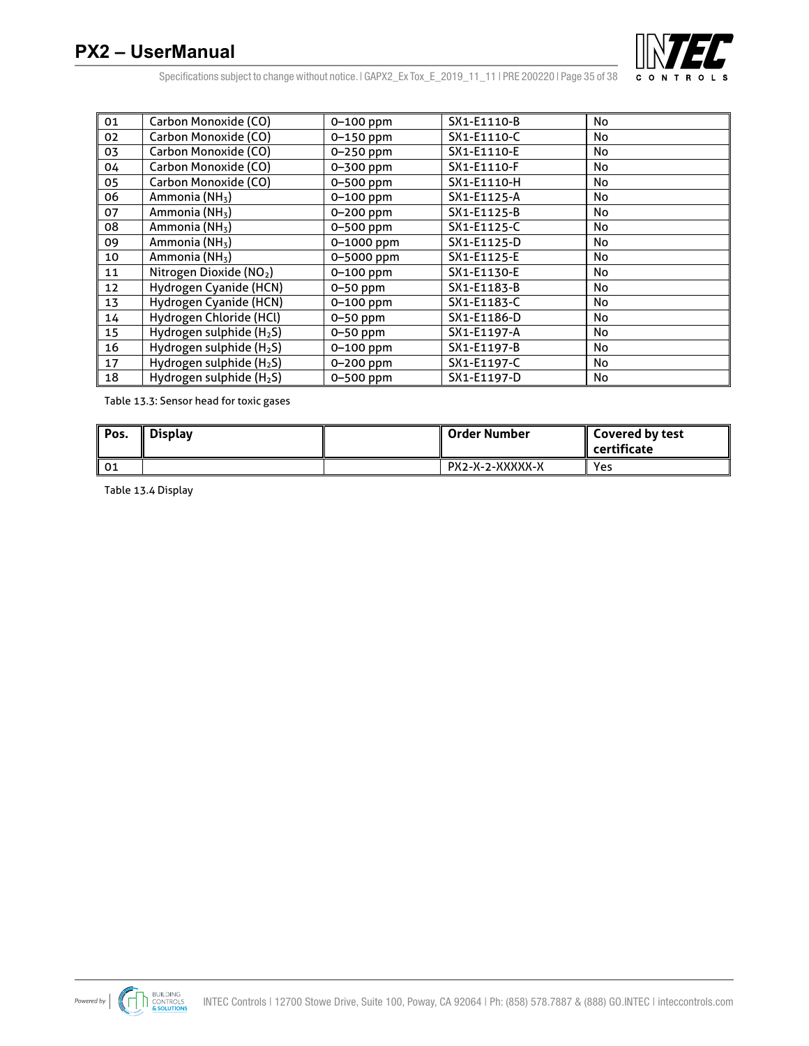

Specifications subject to change without notice. | GAPX2\_Ex Tox\_E\_2019\_11\_11 | PRE 200220 | Page 35 of 38

| 01 | Carbon Monoxide (CO)                 | 0-100 ppm     | SX1-E1110-B | No |
|----|--------------------------------------|---------------|-------------|----|
| 02 | Carbon Monoxide (CO)                 | 0-150 ppm     | SX1-E1110-C | No |
| 03 | Carbon Monoxide (CO)                 | 0-250 ppm     | SX1-E1110-E | No |
| 04 | Carbon Monoxide (CO)                 | 0-300 ppm     | SX1-E1110-F | No |
| 05 | Carbon Monoxide (CO)                 | 0-500 ppm     | SX1-E1110-H | No |
| 06 | Ammonia (NH <sub>3</sub> )           | 0-100 ppm     | SX1-E1125-A | No |
| 07 | Ammonia (NH <sub>3</sub> )           | 0-200 ppm     | SX1-E1125-B | No |
| 08 | Ammonia (NH <sub>3</sub> )           | 0-500 ppm     | SX1-E1125-C | No |
| 09 | Ammonia (NH <sub>3</sub> )           | 0-1000 ppm    | SX1-E1125-D | No |
| 10 | Ammonia (NH <sub>3</sub> )           | 0-5000 ppm    | SX1-E1125-E | No |
| 11 | Nitrogen Dioxide (NO2)               | $0 - 100$ ppm | SX1-E1130-E | No |
| 12 | Hydrogen Cyanide (HCN)               | $0-50$ ppm    | SX1-E1183-B | No |
| 13 | Hydrogen Cyanide (HCN)               | $0 - 100$ ppm | SX1-E1183-C | No |
| 14 | Hydrogen Chloride (HCl)              | $0-50$ ppm    | SX1-E1186-D | No |
| 15 | Hydrogen sulphide (H <sub>2</sub> S) | $0-50$ ppm    | SX1-E1197-A | No |
| 16 | Hydrogen sulphide (H <sub>2</sub> S) | $0 - 100$ ppm | SX1-E1197-B | No |
| 17 | Hydrogen sulphide (H <sub>2</sub> S) | 0-200 ppm     | SX1-E1197-C | No |
| 18 | Hydrogen sulphide (H <sub>2</sub> S) | 0-500 ppm     | SX1-E1197-D | No |

Table 13.3: Sensor head for toxic gases

| Pos. | Display | ∥ Order Number  | <b>Covered by test</b><br>$\parallel$ certificate |
|------|---------|-----------------|---------------------------------------------------|
| 01   |         | PX2-X-2-XXXXX-X | Yes                                               |

Table 13.4 Display

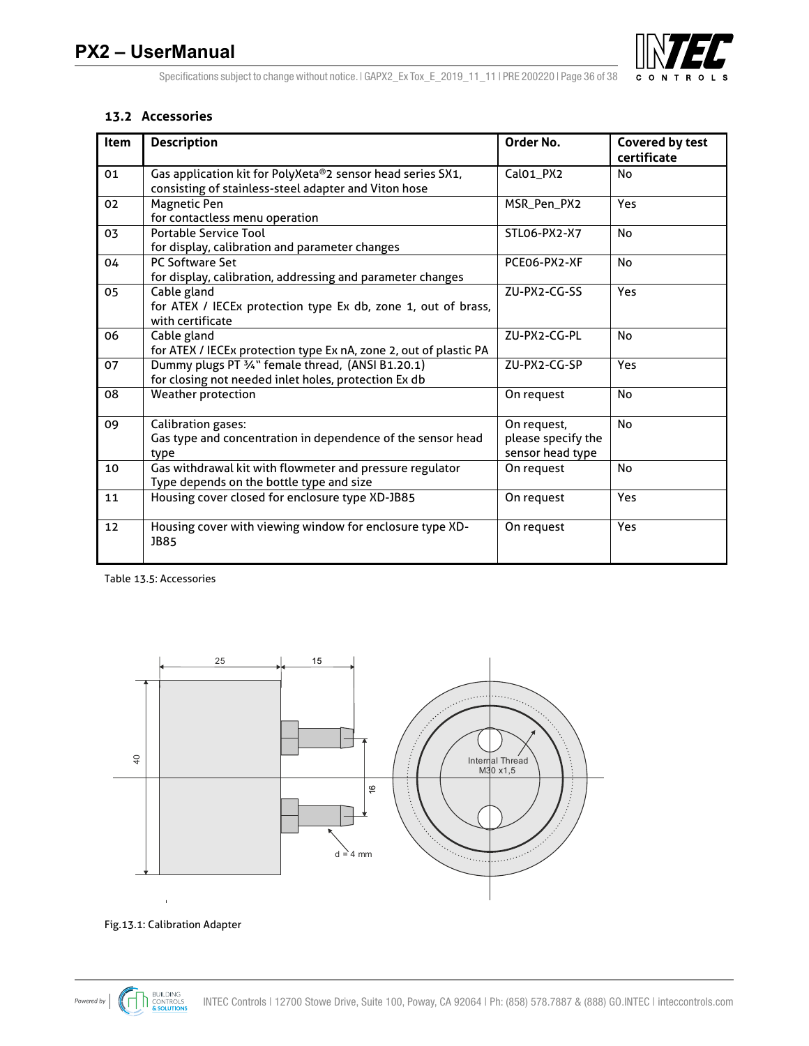

#### **13.2 Accessories**

| Item | <b>Description</b>                                                                                                 | Order No.                                             | <b>Covered by test</b><br>certificate |
|------|--------------------------------------------------------------------------------------------------------------------|-------------------------------------------------------|---------------------------------------|
| 01   | Gas application kit for PolyXeta®2 sensor head series SX1,<br>consisting of stainless-steel adapter and Viton hose | CalO1_PX2                                             | No                                    |
| 02   | Magnetic Pen<br>for contactless menu operation                                                                     | MSR_Pen_PX2                                           | Yes                                   |
| 03   | <b>Portable Service Tool</b><br>for display, calibration and parameter changes                                     | STLO6-PX2-X7                                          | No                                    |
| 04   | <b>PC Software Set</b><br>for display, calibration, addressing and parameter changes                               | PCE06-PX2-XF                                          | No                                    |
| 05   | Cable gland<br>for ATEX / IECEx protection type Ex db, zone 1, out of brass,<br>with certificate                   | ZU-PX2-CG-SS                                          | <b>Yes</b>                            |
| 06   | Cable gland<br>for ATEX / IECEx protection type Ex nA, zone 2, out of plastic PA                                   | ZU-PX2-CG-PL                                          | <b>No</b>                             |
| 07   | Dummy plugs PT 3/4" female thread, (ANSI B1.20.1)<br>for closing not needed inlet holes, protection Ex db          | ZU-PX2-CG-SP                                          | Yes                                   |
| 08   | <b>Weather protection</b>                                                                                          | On request                                            | No                                    |
| 09   | <b>Calibration gases:</b><br>Gas type and concentration in dependence of the sensor head<br>type                   | On request,<br>please specify the<br>sensor head type | <b>No</b>                             |
| 10   | Gas withdrawal kit with flowmeter and pressure regulator<br>Type depends on the bottle type and size               | On request                                            | No                                    |
| 11   | Housing cover closed for enclosure type XD-JB85                                                                    | On request                                            | <b>Yes</b>                            |
| 12   | Housing cover with viewing window for enclosure type XD-<br><b>JB85</b>                                            | On request                                            | Yes                                   |

Table 13.5: Accessories



#### Fig.13.1: Calibration Adapter

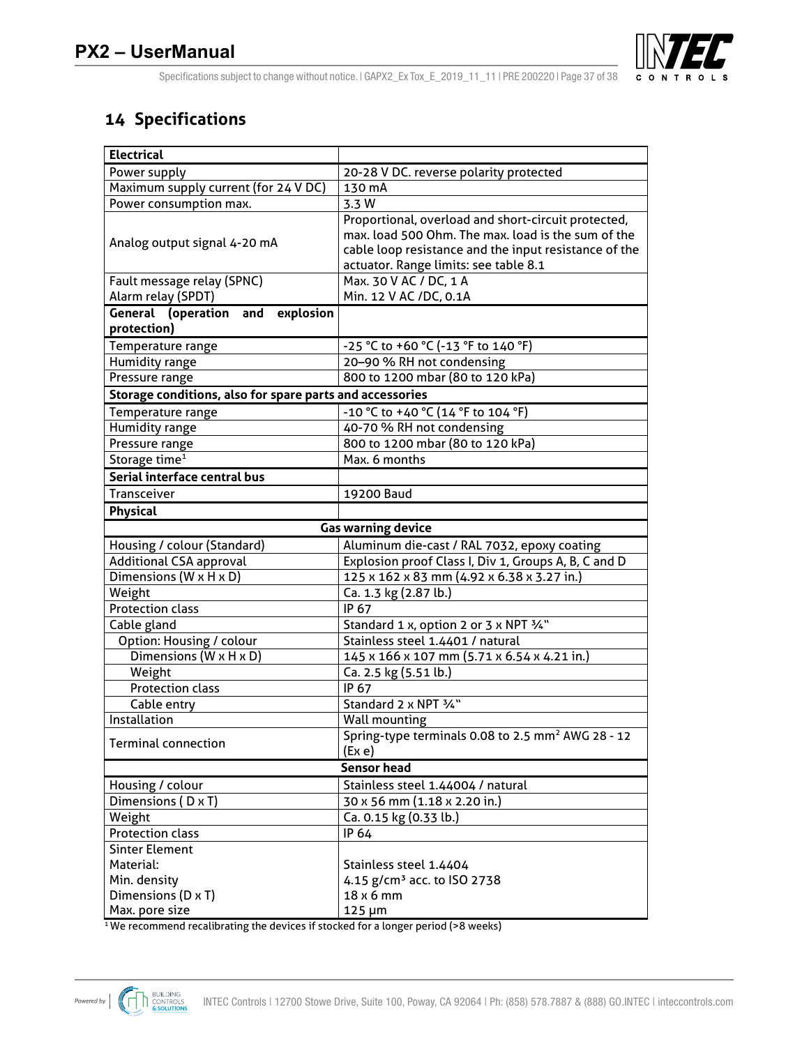

Specifications subject to change without notice. | GAPX2\_Ex Tox\_E\_2019\_11\_11 | PRE 200220 | Page 37 of 38

## **14 Specifications**

| <b>Electrical</b>                                        |                                                                                                                                                                                                             |  |
|----------------------------------------------------------|-------------------------------------------------------------------------------------------------------------------------------------------------------------------------------------------------------------|--|
| Power supply                                             | 20-28 V DC. reverse polarity protected                                                                                                                                                                      |  |
| Maximum supply current (for 24 V DC)                     | 130 mA                                                                                                                                                                                                      |  |
| Power consumption max.                                   | 3.3 W                                                                                                                                                                                                       |  |
| Analog output signal 4-20 mA                             | Proportional, overload and short-circuit protected,<br>max. load 500 Ohm. The max. load is the sum of the<br>cable loop resistance and the input resistance of the<br>actuator. Range limits: see table 8.1 |  |
| Fault message relay (SPNC)<br>Alarm relay (SPDT)         | Max. 30 V AC / DC, 1 A<br>Min. 12 V AC /DC, 0.1A                                                                                                                                                            |  |
| <b>General (operation and explosion</b><br>protection)   |                                                                                                                                                                                                             |  |
| Temperature range                                        | -25 °C to +60 °C (-13 °F to 140 °F)                                                                                                                                                                         |  |
| Humidity range                                           | 20-90 % RH not condensing                                                                                                                                                                                   |  |
| Pressure range                                           | 800 to 1200 mbar (80 to 120 kPa)                                                                                                                                                                            |  |
| Storage conditions, also for spare parts and accessories |                                                                                                                                                                                                             |  |
| Temperature range                                        | -10 °C to +40 °C (14 °F to 104 °F)                                                                                                                                                                          |  |
| Humidity range                                           | 40-70 % RH not condensing                                                                                                                                                                                   |  |
| Pressure range                                           | 800 to 1200 mbar (80 to 120 kPa)                                                                                                                                                                            |  |
| Storage time <sup>1</sup>                                | Max. 6 months                                                                                                                                                                                               |  |
| Serial interface central bus                             |                                                                                                                                                                                                             |  |
| Transceiver                                              | 19200 Baud                                                                                                                                                                                                  |  |
| Physical                                                 |                                                                                                                                                                                                             |  |
|                                                          | <b>Gas warning device</b>                                                                                                                                                                                   |  |
| Housing / colour (Standard)                              | Aluminum die-cast / RAL 7032, epoxy coating                                                                                                                                                                 |  |
| <b>Additional CSA approval</b>                           | Explosion proof Class I, Div 1, Groups A, B, C and D                                                                                                                                                        |  |
| Dimensions (W x H x D)                                   | 125 x 162 x 83 mm (4.92 x 6.38 x 3.27 in.)                                                                                                                                                                  |  |
| Weight                                                   | Ca. 1.3 kg (2.87 lb.)                                                                                                                                                                                       |  |
| <b>Protection class</b>                                  | IP 67                                                                                                                                                                                                       |  |
| Cable gland                                              | Standard 1 x, option 2 or 3 x NPT 3/4"                                                                                                                                                                      |  |
| Option: Housing / colour                                 | Stainless steel 1.4401 / natural                                                                                                                                                                            |  |
| Dimensions (W x H x D)                                   | 145 x 166 x 107 mm (5.71 x 6.54 x 4.21 in.)                                                                                                                                                                 |  |
| Weight                                                   | Ca. 2.5 kg (5.51 lb.)                                                                                                                                                                                       |  |
| <b>Protection class</b>                                  | IP 67                                                                                                                                                                                                       |  |
| Cable entry                                              | Standard 2 x NPT 3/4"                                                                                                                                                                                       |  |
| Installation                                             | <b>Wall mounting</b>                                                                                                                                                                                        |  |
| <b>Terminal connection</b>                               | Spring-type terminals 0.08 to 2.5 mm <sup>2</sup> AWG 28 - 12<br>(Ex e)                                                                                                                                     |  |
|                                                          | <b>Sensor head</b>                                                                                                                                                                                          |  |
| Housing / colour                                         | Stainless steel 1.44004 / natural                                                                                                                                                                           |  |
| Dimensions (D x T)                                       | 30 x 56 mm (1.18 x 2.20 in.)                                                                                                                                                                                |  |
| Weight                                                   | Ca. 0.15 kg (0.33 lb.)                                                                                                                                                                                      |  |
| <b>Protection class</b>                                  | IP 64                                                                                                                                                                                                       |  |
| <b>Sinter Element</b>                                    |                                                                                                                                                                                                             |  |
| Material:                                                | Stainless steel 1.4404                                                                                                                                                                                      |  |
| Min. density                                             | 4.15 g/cm <sup>3</sup> acc. to ISO 2738                                                                                                                                                                     |  |
| Dimensions (D x T)                                       | 18 x 6 mm                                                                                                                                                                                                   |  |
| Max. pore size                                           | $125 \mu m$                                                                                                                                                                                                 |  |

<sup>1</sup>We recommend recalibrating the devices if stocked for a longer period (>8 weeks)